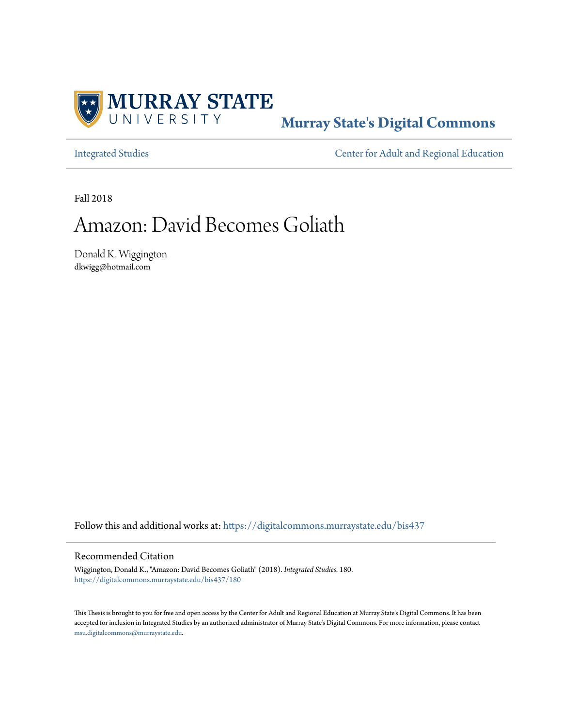

# **[Murray State's Digital Commons](https://digitalcommons.murraystate.edu?utm_source=digitalcommons.murraystate.edu%2Fbis437%2F180&utm_medium=PDF&utm_campaign=PDFCoverPages)**

[Integrated Studies](https://digitalcommons.murraystate.edu/bis437?utm_source=digitalcommons.murraystate.edu%2Fbis437%2F180&utm_medium=PDF&utm_campaign=PDFCoverPages) [Center for Adult and Regional Education](https://digitalcommons.murraystate.edu/rao?utm_source=digitalcommons.murraystate.edu%2Fbis437%2F180&utm_medium=PDF&utm_campaign=PDFCoverPages)

Fall 2018

# Amazon: David Becomes Goliath

Donald K. Wiggington dkwigg@hotmail.com

Follow this and additional works at: [https://digitalcommons.murraystate.edu/bis437](https://digitalcommons.murraystate.edu/bis437?utm_source=digitalcommons.murraystate.edu%2Fbis437%2F180&utm_medium=PDF&utm_campaign=PDFCoverPages)

#### Recommended Citation

Wiggington, Donald K., "Amazon: David Becomes Goliath" (2018). *Integrated Studies*. 180. [https://digitalcommons.murraystate.edu/bis437/180](https://digitalcommons.murraystate.edu/bis437/180?utm_source=digitalcommons.murraystate.edu%2Fbis437%2F180&utm_medium=PDF&utm_campaign=PDFCoverPages)

This Thesis is brought to you for free and open access by the Center for Adult and Regional Education at Murray State's Digital Commons. It has been accepted for inclusion in Integrated Studies by an authorized administrator of Murray State's Digital Commons. For more information, please contact [msu.digitalcommons@murraystate.edu](mailto:msu.digitalcommons@murraystate.edu).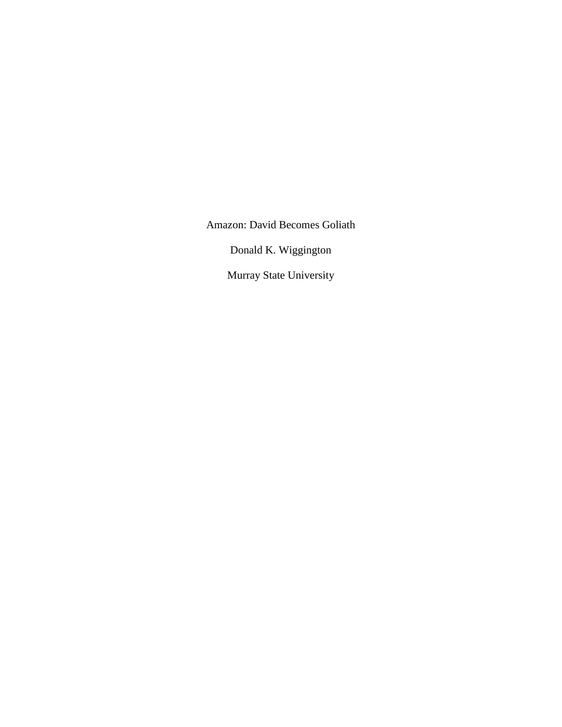Amazon: David Becomes Goliath

Donald K. Wiggington

Murray State University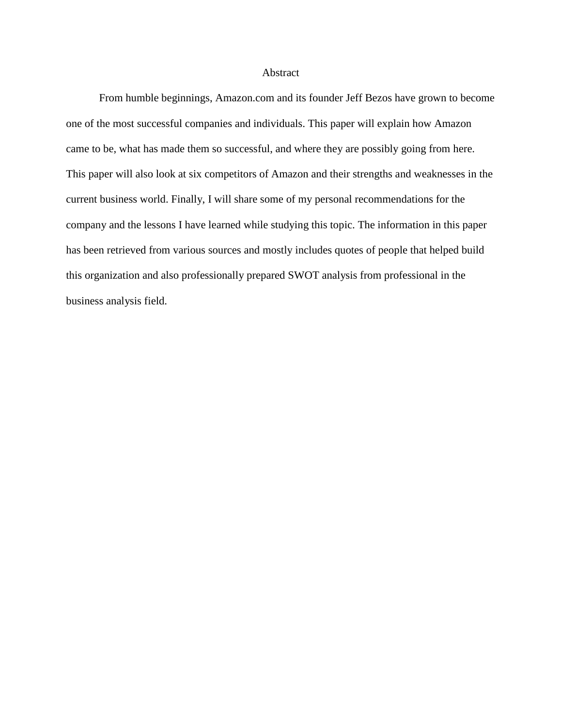#### Abstract

From humble beginnings, Amazon.com and its founder Jeff Bezos have grown to become one of the most successful companies and individuals. This paper will explain how Amazon came to be, what has made them so successful, and where they are possibly going from here. This paper will also look at six competitors of Amazon and their strengths and weaknesses in the current business world. Finally, I will share some of my personal recommendations for the company and the lessons I have learned while studying this topic. The information in this paper has been retrieved from various sources and mostly includes quotes of people that helped build this organization and also professionally prepared SWOT analysis from professional in the business analysis field.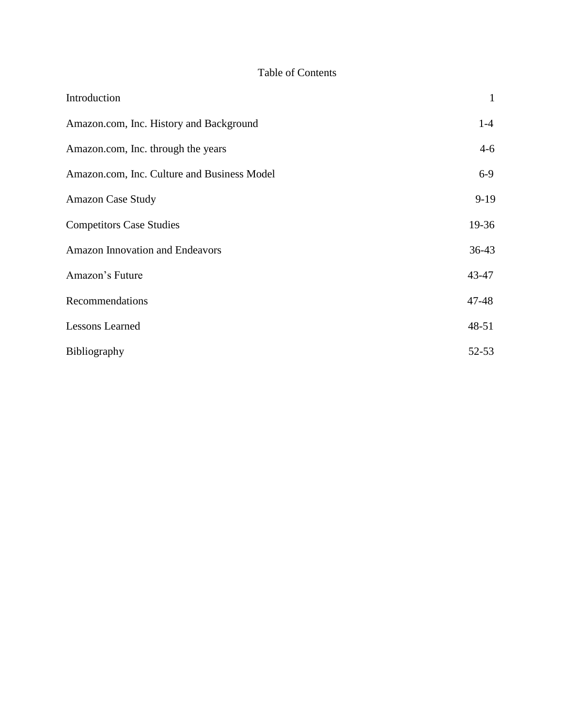# Table of Contents

| Introduction                                | $\mathbf{1}$ |
|---------------------------------------------|--------------|
| Amazon.com, Inc. History and Background     | $1 - 4$      |
| Amazon.com, Inc. through the years          | $4 - 6$      |
| Amazon.com, Inc. Culture and Business Model | $6-9$        |
| <b>Amazon Case Study</b>                    | $9-19$       |
| <b>Competitors Case Studies</b>             | 19-36        |
| <b>Amazon Innovation and Endeavors</b>      | 36-43        |
| Amazon's Future                             | 43-47        |
| Recommendations                             | 47-48        |
| <b>Lessons Learned</b>                      | $48 - 51$    |
| Bibliography                                | $52 - 53$    |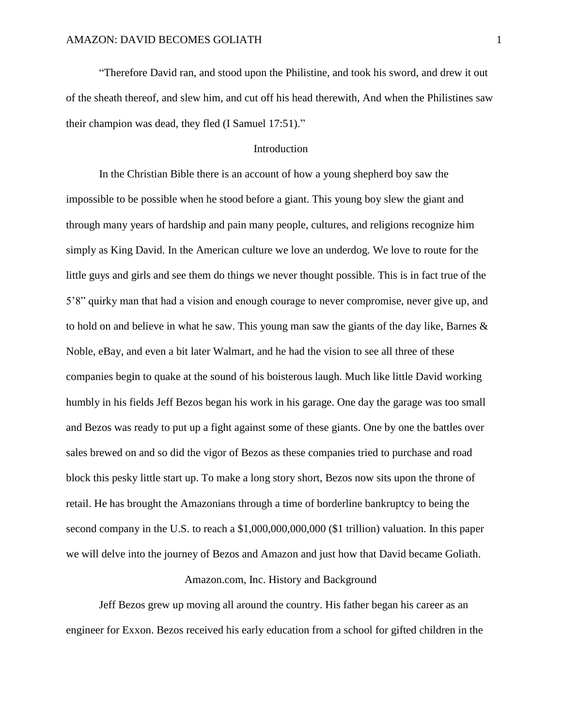"Therefore David ran, and stood upon the Philistine, and took his sword, and drew it out of the sheath thereof, and slew him, and cut off his head therewith, And when the Philistines saw their champion was dead, they fled (I Samuel 17:51)."

### Introduction

In the Christian Bible there is an account of how a young shepherd boy saw the impossible to be possible when he stood before a giant. This young boy slew the giant and through many years of hardship and pain many people, cultures, and religions recognize him simply as King David. In the American culture we love an underdog. We love to route for the little guys and girls and see them do things we never thought possible. This is in fact true of the 5'8" quirky man that had a vision and enough courage to never compromise, never give up, and to hold on and believe in what he saw. This young man saw the giants of the day like, Barnes  $\&$ Noble, eBay, and even a bit later Walmart, and he had the vision to see all three of these companies begin to quake at the sound of his boisterous laugh. Much like little David working humbly in his fields Jeff Bezos began his work in his garage. One day the garage was too small and Bezos was ready to put up a fight against some of these giants. One by one the battles over sales brewed on and so did the vigor of Bezos as these companies tried to purchase and road block this pesky little start up. To make a long story short, Bezos now sits upon the throne of retail. He has brought the Amazonians through a time of borderline bankruptcy to being the second company in the U.S. to reach a \$1,000,000,000,000 (\$1 trillion) valuation. In this paper we will delve into the journey of Bezos and Amazon and just how that David became Goliath.

#### Amazon.com, Inc. History and Background

Jeff Bezos grew up moving all around the country. His father began his career as an engineer for Exxon. Bezos received his early education from a school for gifted children in the 1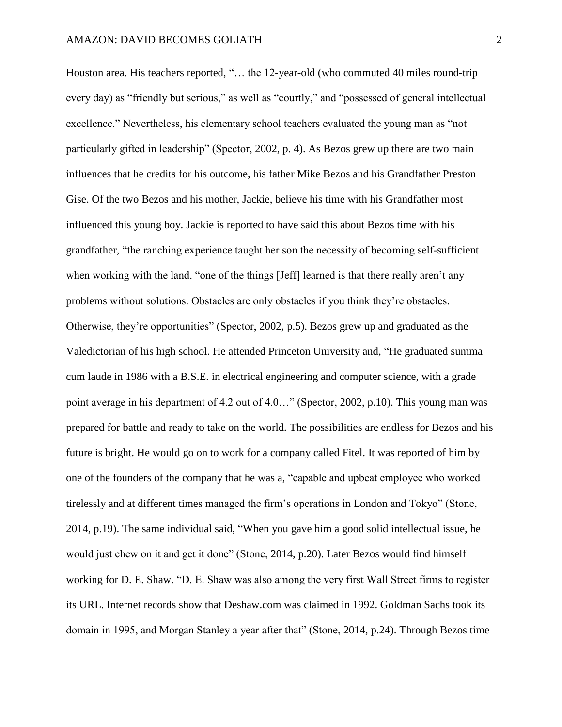Houston area. His teachers reported, "… the 12-year-old (who commuted 40 miles round-trip every day) as "friendly but serious," as well as "courtly," and "possessed of general intellectual excellence." Nevertheless, his elementary school teachers evaluated the young man as "not particularly gifted in leadership" (Spector, 2002, p. 4). As Bezos grew up there are two main influences that he credits for his outcome, his father Mike Bezos and his Grandfather Preston Gise. Of the two Bezos and his mother, Jackie, believe his time with his Grandfather most influenced this young boy. Jackie is reported to have said this about Bezos time with his grandfather, "the ranching experience taught her son the necessity of becoming self-sufficient when working with the land. "one of the things [Jeff] learned is that there really aren't any problems without solutions. Obstacles are only obstacles if you think they're obstacles. Otherwise, they're opportunities" (Spector, 2002, p.5). Bezos grew up and graduated as the Valedictorian of his high school. He attended Princeton University and, "He graduated summa cum laude in 1986 with a B.S.E. in electrical engineering and computer science, with a grade point average in his department of 4.2 out of 4.0…" (Spector, 2002, p.10). This young man was prepared for battle and ready to take on the world. The possibilities are endless for Bezos and his future is bright. He would go on to work for a company called Fitel. It was reported of him by one of the founders of the company that he was a, "capable and upbeat employee who worked tirelessly and at different times managed the firm's operations in London and Tokyo" (Stone, 2014, p.19). The same individual said, "When you gave him a good solid intellectual issue, he would just chew on it and get it done" (Stone, 2014, p.20). Later Bezos would find himself working for D. E. Shaw. "D. E. Shaw was also among the very first Wall Street firms to register its URL. Internet records show that Deshaw.com was claimed in 1992. Goldman Sachs took its domain in 1995, and Morgan Stanley a year after that" (Stone, 2014, p.24). Through Bezos time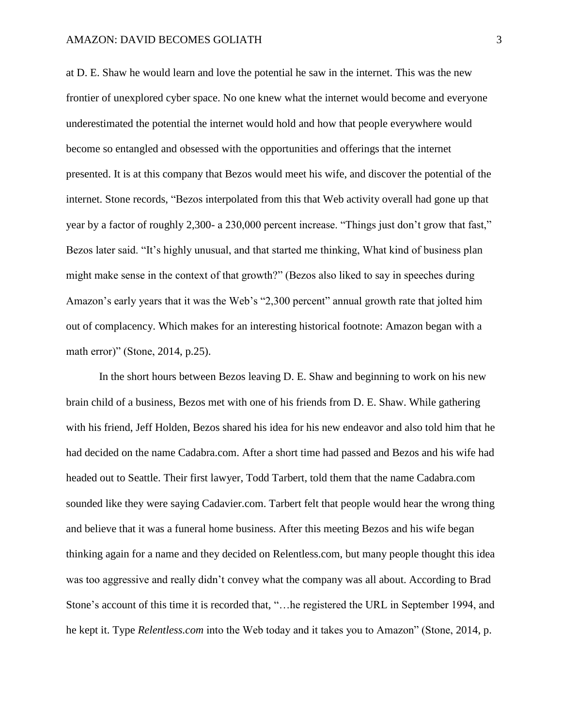at D. E. Shaw he would learn and love the potential he saw in the internet. This was the new frontier of unexplored cyber space. No one knew what the internet would become and everyone underestimated the potential the internet would hold and how that people everywhere would become so entangled and obsessed with the opportunities and offerings that the internet presented. It is at this company that Bezos would meet his wife, and discover the potential of the internet. Stone records, "Bezos interpolated from this that Web activity overall had gone up that year by a factor of roughly 2,300- a 230,000 percent increase. "Things just don't grow that fast," Bezos later said. "It's highly unusual, and that started me thinking, What kind of business plan might make sense in the context of that growth?" (Bezos also liked to say in speeches during Amazon's early years that it was the Web's "2,300 percent" annual growth rate that jolted him out of complacency. Which makes for an interesting historical footnote: Amazon began with a math error)" (Stone, 2014, p.25).

In the short hours between Bezos leaving D. E. Shaw and beginning to work on his new brain child of a business, Bezos met with one of his friends from D. E. Shaw. While gathering with his friend, Jeff Holden, Bezos shared his idea for his new endeavor and also told him that he had decided on the name Cadabra.com. After a short time had passed and Bezos and his wife had headed out to Seattle. Their first lawyer, Todd Tarbert, told them that the name Cadabra.com sounded like they were saying Cadavier.com. Tarbert felt that people would hear the wrong thing and believe that it was a funeral home business. After this meeting Bezos and his wife began thinking again for a name and they decided on Relentless.com, but many people thought this idea was too aggressive and really didn't convey what the company was all about. According to Brad Stone's account of this time it is recorded that, "…he registered the URL in September 1994, and he kept it. Type *Relentless.com* into the Web today and it takes you to Amazon" (Stone, 2014, p.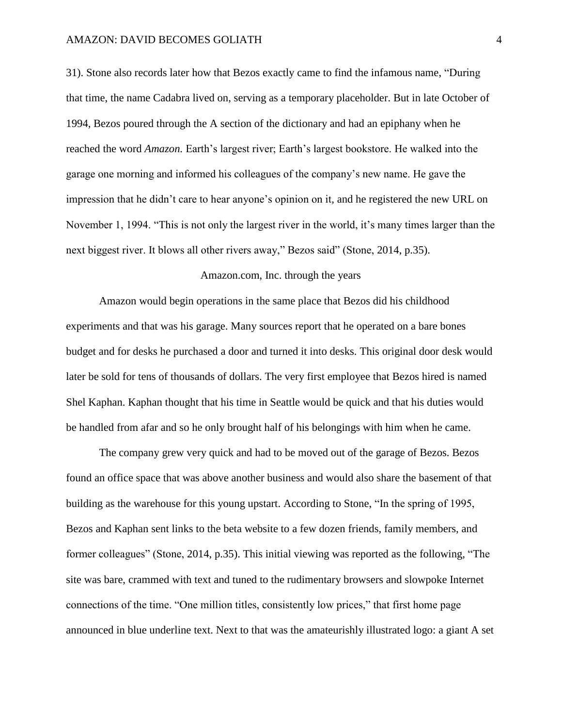31). Stone also records later how that Bezos exactly came to find the infamous name, "During that time, the name Cadabra lived on, serving as a temporary placeholder. But in late October of 1994, Bezos poured through the A section of the dictionary and had an epiphany when he reached the word *Amazon.* Earth's largest river; Earth's largest bookstore. He walked into the garage one morning and informed his colleagues of the company's new name. He gave the impression that he didn't care to hear anyone's opinion on it, and he registered the new URL on November 1, 1994. "This is not only the largest river in the world, it's many times larger than the next biggest river. It blows all other rivers away," Bezos said" (Stone, 2014, p.35).

#### Amazon.com, Inc. through the years

Amazon would begin operations in the same place that Bezos did his childhood experiments and that was his garage. Many sources report that he operated on a bare bones budget and for desks he purchased a door and turned it into desks. This original door desk would later be sold for tens of thousands of dollars. The very first employee that Bezos hired is named Shel Kaphan. Kaphan thought that his time in Seattle would be quick and that his duties would be handled from afar and so he only brought half of his belongings with him when he came.

The company grew very quick and had to be moved out of the garage of Bezos. Bezos found an office space that was above another business and would also share the basement of that building as the warehouse for this young upstart. According to Stone, "In the spring of 1995, Bezos and Kaphan sent links to the beta website to a few dozen friends, family members, and former colleagues" (Stone, 2014, p.35). This initial viewing was reported as the following, "The site was bare, crammed with text and tuned to the rudimentary browsers and slowpoke Internet connections of the time. "One million titles, consistently low prices," that first home page announced in blue underline text. Next to that was the amateurishly illustrated logo: a giant A set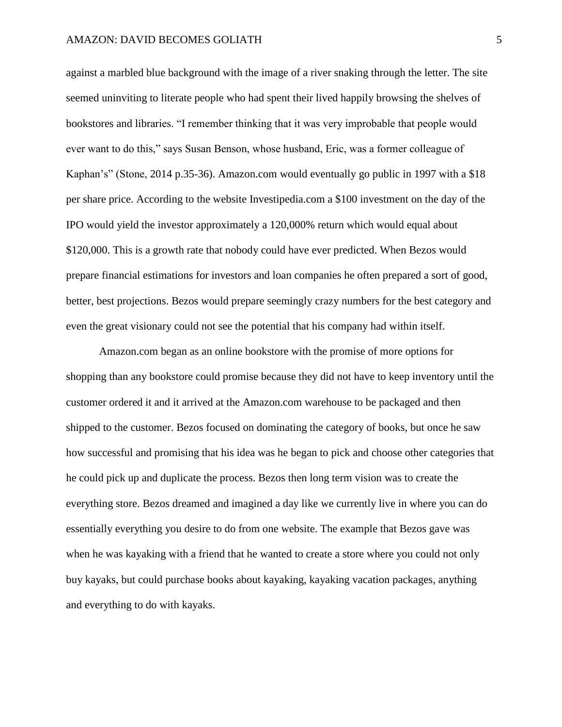against a marbled blue background with the image of a river snaking through the letter. The site seemed uninviting to literate people who had spent their lived happily browsing the shelves of bookstores and libraries. "I remember thinking that it was very improbable that people would ever want to do this," says Susan Benson, whose husband, Eric, was a former colleague of Kaphan's" (Stone, 2014 p.35-36). Amazon.com would eventually go public in 1997 with a \$18 per share price. According to the website Investipedia.com a \$100 investment on the day of the IPO would yield the investor approximately a 120,000% return which would equal about \$120,000. This is a growth rate that nobody could have ever predicted. When Bezos would prepare financial estimations for investors and loan companies he often prepared a sort of good, better, best projections. Bezos would prepare seemingly crazy numbers for the best category and even the great visionary could not see the potential that his company had within itself.

Amazon.com began as an online bookstore with the promise of more options for shopping than any bookstore could promise because they did not have to keep inventory until the customer ordered it and it arrived at the Amazon.com warehouse to be packaged and then shipped to the customer. Bezos focused on dominating the category of books, but once he saw how successful and promising that his idea was he began to pick and choose other categories that he could pick up and duplicate the process. Bezos then long term vision was to create the everything store. Bezos dreamed and imagined a day like we currently live in where you can do essentially everything you desire to do from one website. The example that Bezos gave was when he was kayaking with a friend that he wanted to create a store where you could not only buy kayaks, but could purchase books about kayaking, kayaking vacation packages, anything and everything to do with kayaks.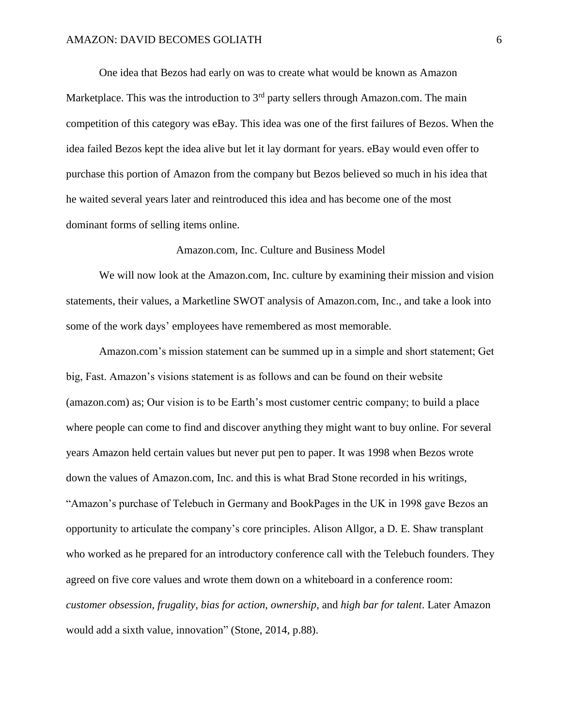One idea that Bezos had early on was to create what would be known as Amazon Marketplace. This was the introduction to  $3<sup>rd</sup>$  party sellers through Amazon.com. The main competition of this category was eBay. This idea was one of the first failures of Bezos. When the idea failed Bezos kept the idea alive but let it lay dormant for years. eBay would even offer to purchase this portion of Amazon from the company but Bezos believed so much in his idea that he waited several years later and reintroduced this idea and has become one of the most dominant forms of selling items online.

Amazon.com, Inc. Culture and Business Model

We will now look at the Amazon.com, Inc. culture by examining their mission and vision statements, their values, a Marketline SWOT analysis of Amazon.com, Inc., and take a look into some of the work days' employees have remembered as most memorable.

Amazon.com's mission statement can be summed up in a simple and short statement; Get big, Fast. Amazon's visions statement is as follows and can be found on their website (amazon.com) as; Our vision is to be Earth's most customer centric company; to build a place where people can come to find and discover anything they might want to buy online. For several years Amazon held certain values but never put pen to paper. It was 1998 when Bezos wrote down the values of Amazon.com, Inc. and this is what Brad Stone recorded in his writings, "Amazon's purchase of Telebuch in Germany and BookPages in the UK in 1998 gave Bezos an opportunity to articulate the company's core principles. Alison Allgor, a D. E. Shaw transplant who worked as he prepared for an introductory conference call with the Telebuch founders. They agreed on five core values and wrote them down on a whiteboard in a conference room: *customer obsession, frugality, bias for action, ownership,* and *high bar for talent*. Later Amazon would add a sixth value, innovation" (Stone, 2014, p.88).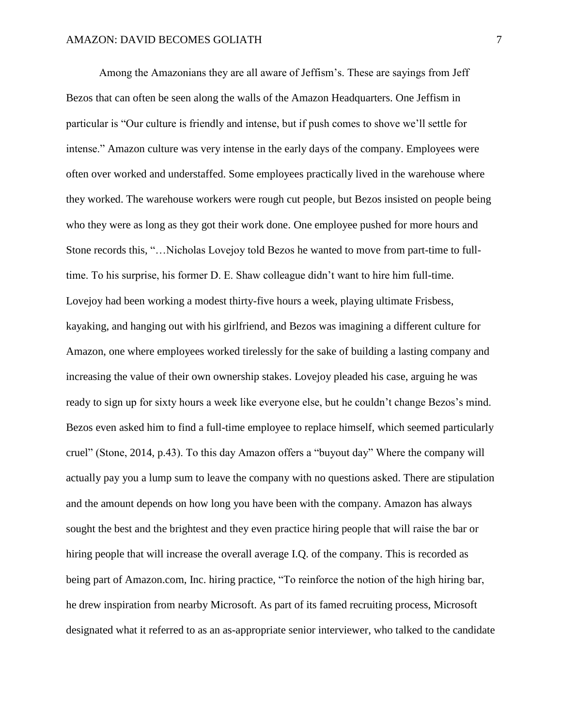Among the Amazonians they are all aware of Jeffism's. These are sayings from Jeff Bezos that can often be seen along the walls of the Amazon Headquarters. One Jeffism in particular is "Our culture is friendly and intense, but if push comes to shove we'll settle for intense." Amazon culture was very intense in the early days of the company. Employees were often over worked and understaffed. Some employees practically lived in the warehouse where they worked. The warehouse workers were rough cut people, but Bezos insisted on people being who they were as long as they got their work done. One employee pushed for more hours and Stone records this, "…Nicholas Lovejoy told Bezos he wanted to move from part-time to fulltime. To his surprise, his former D. E. Shaw colleague didn't want to hire him full-time. Lovejoy had been working a modest thirty-five hours a week, playing ultimate Frisbess, kayaking, and hanging out with his girlfriend, and Bezos was imagining a different culture for Amazon, one where employees worked tirelessly for the sake of building a lasting company and increasing the value of their own ownership stakes. Lovejoy pleaded his case, arguing he was ready to sign up for sixty hours a week like everyone else, but he couldn't change Bezos's mind. Bezos even asked him to find a full-time employee to replace himself, which seemed particularly cruel" (Stone, 2014, p.43). To this day Amazon offers a "buyout day" Where the company will actually pay you a lump sum to leave the company with no questions asked. There are stipulation and the amount depends on how long you have been with the company. Amazon has always sought the best and the brightest and they even practice hiring people that will raise the bar or hiring people that will increase the overall average I.Q. of the company. This is recorded as being part of Amazon.com, Inc. hiring practice, "To reinforce the notion of the high hiring bar, he drew inspiration from nearby Microsoft. As part of its famed recruiting process, Microsoft designated what it referred to as an as-appropriate senior interviewer, who talked to the candidate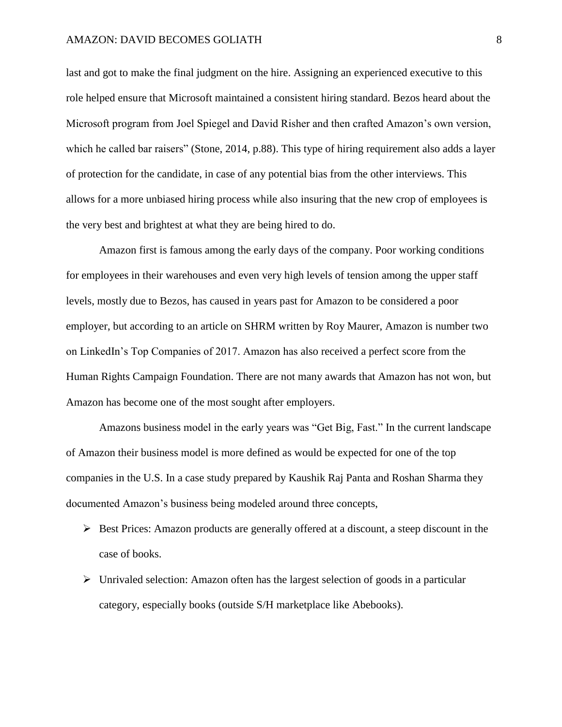last and got to make the final judgment on the hire. Assigning an experienced executive to this role helped ensure that Microsoft maintained a consistent hiring standard. Bezos heard about the Microsoft program from Joel Spiegel and David Risher and then crafted Amazon's own version, which he called bar raisers" (Stone, 2014, p.88). This type of hiring requirement also adds a layer of protection for the candidate, in case of any potential bias from the other interviews. This allows for a more unbiased hiring process while also insuring that the new crop of employees is the very best and brightest at what they are being hired to do.

Amazon first is famous among the early days of the company. Poor working conditions for employees in their warehouses and even very high levels of tension among the upper staff levels, mostly due to Bezos, has caused in years past for Amazon to be considered a poor employer, but according to an article on SHRM written by Roy Maurer, Amazon is number two on LinkedIn's Top Companies of 2017. Amazon has also received a perfect score from the Human Rights Campaign Foundation. There are not many awards that Amazon has not won, but Amazon has become one of the most sought after employers.

Amazons business model in the early years was "Get Big, Fast." In the current landscape of Amazon their business model is more defined as would be expected for one of the top companies in the U.S. In a case study prepared by Kaushik Raj Panta and Roshan Sharma they documented Amazon's business being modeled around three concepts,

- $\triangleright$  Best Prices: Amazon products are generally offered at a discount, a steep discount in the case of books.
- ➢ Unrivaled selection: Amazon often has the largest selection of goods in a particular category, especially books (outside S/H marketplace like Abebooks).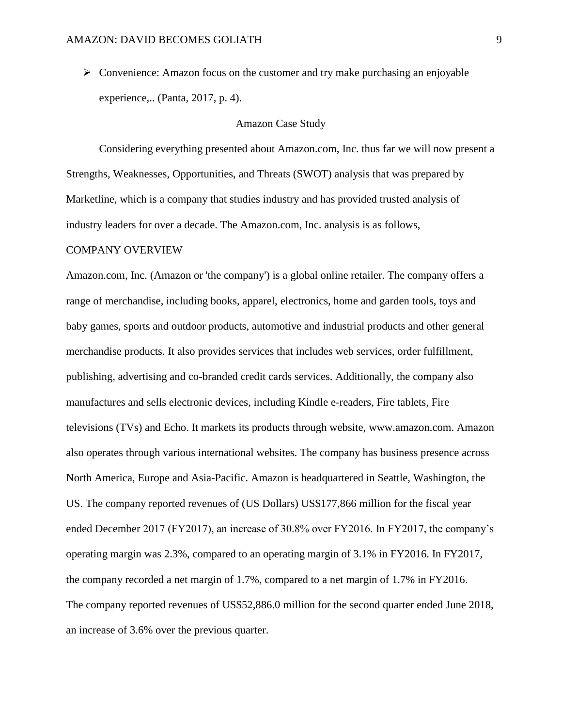$\triangleright$  Convenience: Amazon focus on the customer and try make purchasing an enjoyable experience,.. (Panta, 2017, p. 4).

#### Amazon Case Study

Considering everything presented about Amazon.com, Inc. thus far we will now present a Strengths, Weaknesses, Opportunities, and Threats (SWOT) analysis that was prepared by Marketline, which is a company that studies industry and has provided trusted analysis of industry leaders for over a decade. The Amazon.com, Inc. analysis is as follows,

#### COMPANY OVERVIEW

Amazon.com, Inc. (Amazon or 'the company') is a global online retailer. The company offers a range of merchandise, including books, apparel, electronics, home and garden tools, toys and baby games, sports and outdoor products, automotive and industrial products and other general merchandise products. It also provides services that includes web services, order fulfillment, publishing, advertising and co-branded credit cards services. Additionally, the company also manufactures and sells electronic devices, including Kindle e-readers, Fire tablets, Fire televisions (TVs) and Echo. It markets its products through website, www.amazon.com. Amazon also operates through various international websites. The company has business presence across North America, Europe and Asia-Pacific. Amazon is headquartered in Seattle, Washington, the US. The company reported revenues of (US Dollars) US\$177,866 million for the fiscal year ended December 2017 (FY2017), an increase of 30.8% over FY2016. In FY2017, the company's operating margin was 2.3%, compared to an operating margin of 3.1% in FY2016. In FY2017, the company recorded a net margin of 1.7%, compared to a net margin of 1.7% in FY2016. The company reported revenues of US\$52,886.0 million for the second quarter ended June 2018, an increase of  $3.6\%$  over the previous quarter.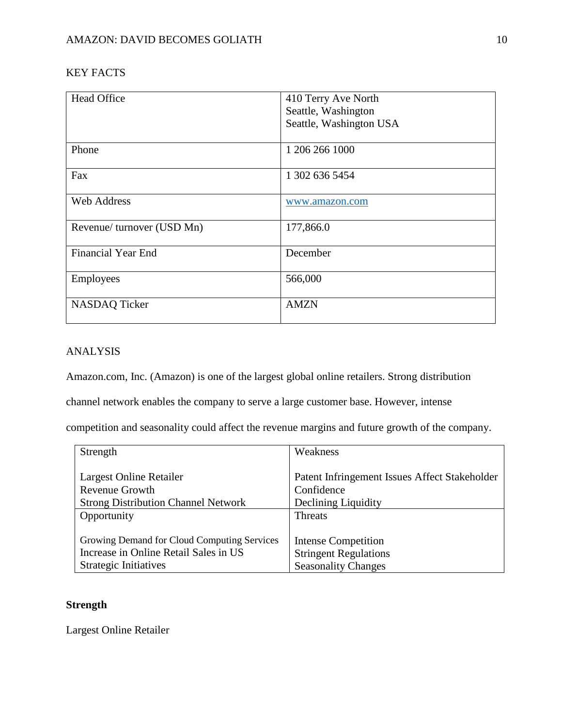# KEY FACTS

| Head Office               | 410 Terry Ave North<br>Seattle, Washington<br>Seattle, Washington USA |
|---------------------------|-----------------------------------------------------------------------|
| Phone                     | 1 206 266 1000                                                        |
| Fax                       | 1 302 636 5454                                                        |
| <b>Web Address</b>        | www.amazon.com                                                        |
| Revenue/turnover (USD Mn) | 177,866.0                                                             |
| <b>Financial Year End</b> | December                                                              |
| Employees                 | 566,000                                                               |
| <b>NASDAQ Ticker</b>      | <b>AMZN</b>                                                           |

### ANALYSIS

Amazon.com, Inc. (Amazon) is one of the largest global online retailers. Strong distribution

channel network enables the company to serve a large customer base. However, intense

competition and seasonality could affect the revenue margins and future growth of the company.

| Strength                                    | Weakness                                      |
|---------------------------------------------|-----------------------------------------------|
|                                             |                                               |
| <b>Largest Online Retailer</b>              | Patent Infringement Issues Affect Stakeholder |
| <b>Revenue Growth</b>                       | Confidence                                    |
| <b>Strong Distribution Channel Network</b>  | Declining Liquidity                           |
| Opportunity                                 | <b>Threats</b>                                |
|                                             |                                               |
| Growing Demand for Cloud Computing Services | <b>Intense Competition</b>                    |
| Increase in Online Retail Sales in US       | <b>Stringent Regulations</b>                  |
| Strategic Initiatives                       | <b>Seasonality Changes</b>                    |

# **Strength**

Largest Online Retailer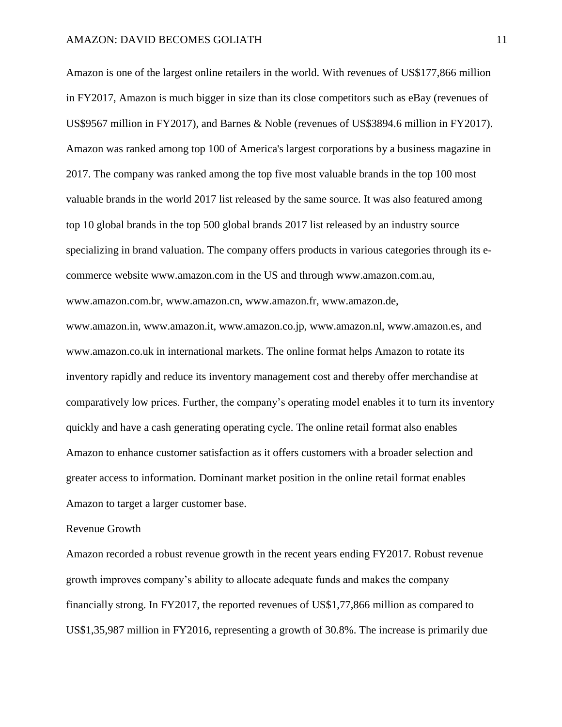Amazon is one of the largest online retailers in the world. With revenues of US\$177,866 million in FY2017, Amazon is much bigger in size than its close competitors such as eBay (revenues of US\$9567 million in FY2017), and Barnes & Noble (revenues of US\$3894.6 million in FY2017). Amazon was ranked among top 100 of America's largest corporations by a business magazine in 2017. The company was ranked among the top five most valuable brands in the top 100 most valuable brands in the world 2017 list released by the same source. It was also featured among top 10 global brands in the top 500 global brands 2017 list released by an industry source specializing in brand valuation. The company offers products in various categories through its ecommerce website www.amazon.com in the US and through www.amazon.com.au, www.amazon.com.br, www.amazon.cn, www.amazon.fr, www.amazon.de, www.amazon.in, www.amazon.it, www.amazon.co.jp, www.amazon.nl, www.amazon.es, and www.amazon.co.uk in international markets. The online format helps Amazon to rotate its inventory rapidly and reduce its inventory management cost and thereby offer merchandise at comparatively low prices. Further, the company's operating model enables it to turn its inventory quickly and have a cash generating operating cycle. The online retail format also enables Amazon to enhance customer satisfaction as it offers customers with a broader selection and greater access to information. Dominant market position in the online retail format enables Amazon to target a larger customer base.

#### Revenue Growth

Amazon recorded a robust revenue growth in the recent years ending FY2017. Robust revenue growth improves company's ability to allocate adequate funds and makes the company financially strong. In FY2017, the reported revenues of US\$1,77,866 million as compared to US\$1,35,987 million in FY2016, representing a growth of 30.8%. The increase is primarily due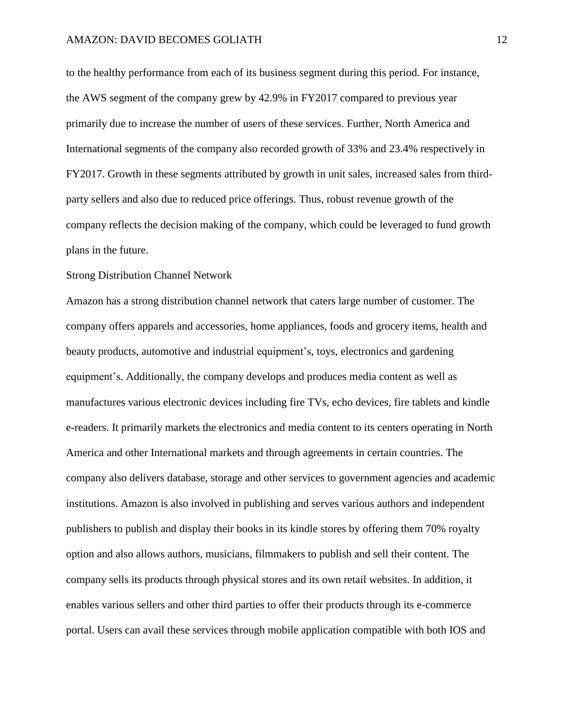to the healthy performance from each of its business segment during this period. For instance, the AWS segment of the company grew by 42.9% in FY2017 compared to previous year primarily due to increase the number of users of these services. Further, North America and International segments of the company also recorded growth of 33% and 23.4% respectively in FY2017. Growth in these segments attributed by growth in unit sales, increased sales from thirdparty sellers and also due to reduced price offerings. Thus, robust revenue growth of the company reflects the decision making of the company, which could be leveraged to fund growth plans in the future.

#### Strong Distribution Channel Network

Amazon has a strong distribution channel network that caters large number of customer. The company offers apparels and accessories, home appliances, foods and grocery items, health and beauty products, automotive and industrial equipment's, toys, electronics and gardening equipment's. Additionally, the company develops and produces media content as well as manufactures various electronic devices including fire TVs, echo devices, fire tablets and kindle e-readers. It primarily markets the electronics and media content to its centers operating in North America and other International markets and through agreements in certain countries. The company also delivers database, storage and other services to government agencies and academic institutions. Amazon is also involved in publishing and serves various authors and independent publishers to publish and display their books in its kindle stores by offering them 70% royalty option and also allows authors, musicians, filmmakers to publish and sell their content. The company sells its products through physical stores and its own retail websites. In addition, it enables various sellers and other third parties to offer their products through its e-commerce portal. Users can avail these services through mobile application compatible with both IOS and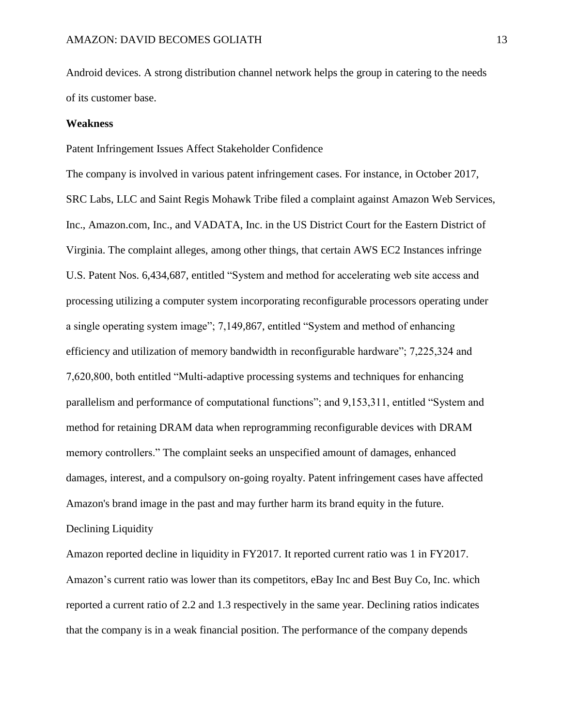Android devices. A strong distribution channel network helps the group in catering to the needs of its customer base.

#### **Weakness**

Patent Infringement Issues Affect Stakeholder Confidence

The company is involved in various patent infringement cases. For instance, in October 2017, SRC Labs, LLC and Saint Regis Mohawk Tribe filed a complaint against Amazon Web Services, Inc., Amazon.com, Inc., and VADATA, Inc. in the US District Court for the Eastern District of Virginia. The complaint alleges, among other things, that certain AWS EC2 Instances infringe U.S. Patent Nos. 6,434,687, entitled "System and method for accelerating web site access and processing utilizing a computer system incorporating reconfigurable processors operating under a single operating system image"; 7,149,867, entitled "System and method of enhancing efficiency and utilization of memory bandwidth in reconfigurable hardware"; 7,225,324 and 7,620,800, both entitled "Multi-adaptive processing systems and techniques for enhancing parallelism and performance of computational functions"; and 9,153,311, entitled "System and method for retaining DRAM data when reprogramming reconfigurable devices with DRAM memory controllers." The complaint seeks an unspecified amount of damages, enhanced damages, interest, and a compulsory on-going royalty. Patent infringement cases have affected Amazon's brand image in the past and may further harm its brand equity in the future. Declining Liquidity

Amazon reported decline in liquidity in FY2017. It reported current ratio was 1 in FY2017. Amazon's current ratio was lower than its competitors, eBay Inc and Best Buy Co, Inc. which reported a current ratio of 2.2 and 1.3 respectively in the same year. Declining ratios indicates that the company is in a weak financial position. The performance of the company depends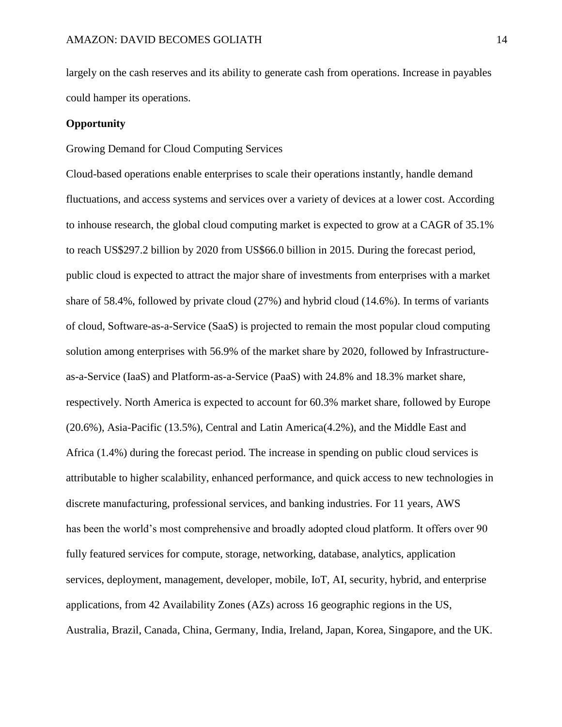largely on the cash reserves and its ability to generate cash from operations. Increase in payables could hamper its operations.

#### **Opportunity**

#### Growing Demand for Cloud Computing Services

Cloud-based operations enable enterprises to scale their operations instantly, handle demand fluctuations, and access systems and services over a variety of devices at a lower cost. According to inhouse research, the global cloud computing market is expected to grow at a CAGR of 35.1% to reach US\$297.2 billion by 2020 from US\$66.0 billion in 2015. During the forecast period, public cloud is expected to attract the major share of investments from enterprises with a market share of 58.4%, followed by private cloud (27%) and hybrid cloud (14.6%). In terms of variants of cloud, Software-as-a-Service (SaaS) is projected to remain the most popular cloud computing solution among enterprises with 56.9% of the market share by 2020, followed by Infrastructureas-a-Service (IaaS) and Platform-as-a-Service (PaaS) with 24.8% and 18.3% market share, respectively. North America is expected to account for 60.3% market share, followed by Europe (20.6%), Asia-Pacific (13.5%), Central and Latin America(4.2%), and the Middle East and Africa (1.4%) during the forecast period. The increase in spending on public cloud services is attributable to higher scalability, enhanced performance, and quick access to new technologies in discrete manufacturing, professional services, and banking industries. For 11 years, AWS has been the world's most comprehensive and broadly adopted cloud platform. It offers over 90 fully featured services for compute, storage, networking, database, analytics, application services, deployment, management, developer, mobile, IoT, AI, security, hybrid, and enterprise applications, from 42 Availability Zones (AZs) across 16 geographic regions in the US, Australia, Brazil, Canada, China, Germany, India, Ireland, Japan, Korea, Singapore, and the UK.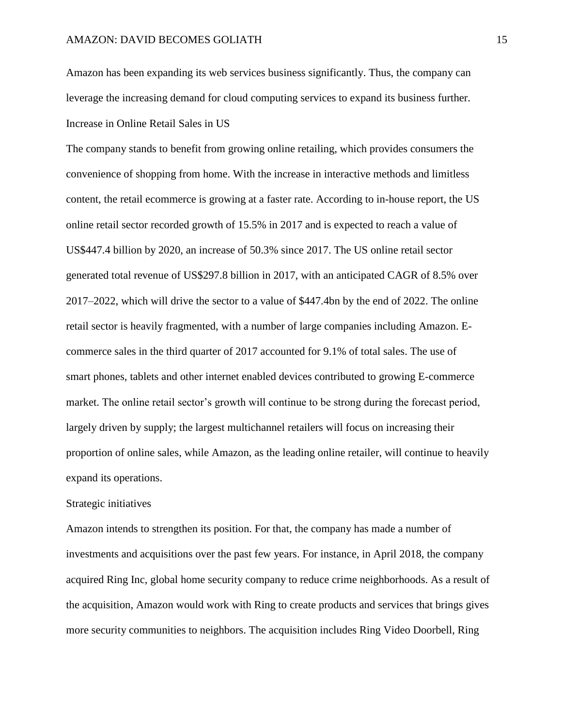Amazon has been expanding its web services business significantly. Thus, the company can leverage the increasing demand for cloud computing services to expand its business further. Increase in Online Retail Sales in US

The company stands to benefit from growing online retailing, which provides consumers the convenience of shopping from home. With the increase in interactive methods and limitless content, the retail ecommerce is growing at a faster rate. According to in-house report, the US online retail sector recorded growth of 15.5% in 2017 and is expected to reach a value of US\$447.4 billion by 2020, an increase of 50.3% since 2017. The US online retail sector generated total revenue of US\$297.8 billion in 2017, with an anticipated CAGR of 8.5% over 2017–2022, which will drive the sector to a value of \$447.4bn by the end of 2022. The online retail sector is heavily fragmented, with a number of large companies including Amazon. Ecommerce sales in the third quarter of 2017 accounted for 9.1% of total sales. The use of smart phones, tablets and other internet enabled devices contributed to growing E-commerce market. The online retail sector's growth will continue to be strong during the forecast period, largely driven by supply; the largest multichannel retailers will focus on increasing their proportion of online sales, while Amazon, as the leading online retailer, will continue to heavily expand its operations.

### Strategic initiatives

Amazon intends to strengthen its position. For that, the company has made a number of investments and acquisitions over the past few years. For instance, in April 2018, the company acquired Ring Inc, global home security company to reduce crime neighborhoods. As a result of the acquisition, Amazon would work with Ring to create products and services that brings gives more security communities to neighbors. The acquisition includes Ring Video Doorbell, Ring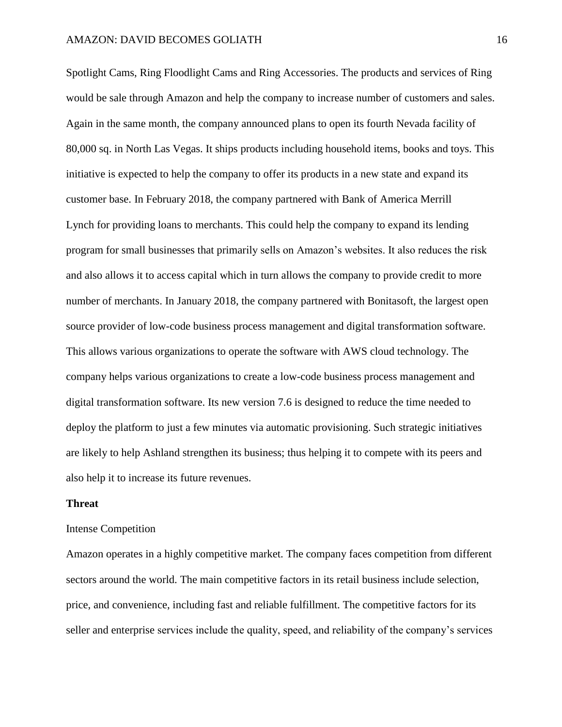Spotlight Cams, Ring Floodlight Cams and Ring Accessories. The products and services of Ring would be sale through Amazon and help the company to increase number of customers and sales. Again in the same month, the company announced plans to open its fourth Nevada facility of 80,000 sq. in North Las Vegas. It ships products including household items, books and toys. This initiative is expected to help the company to offer its products in a new state and expand its customer base. In February 2018, the company partnered with Bank of America Merrill Lynch for providing loans to merchants. This could help the company to expand its lending program for small businesses that primarily sells on Amazon's websites. It also reduces the risk and also allows it to access capital which in turn allows the company to provide credit to more number of merchants. In January 2018, the company partnered with Bonitasoft, the largest open source provider of low-code business process management and digital transformation software. This allows various organizations to operate the software with AWS cloud technology. The company helps various organizations to create a low-code business process management and digital transformation software. Its new version 7.6 is designed to reduce the time needed to deploy the platform to just a few minutes via automatic provisioning. Such strategic initiatives are likely to help Ashland strengthen its business; thus helping it to compete with its peers and also help it to increase its future revenues.

#### **Threat**

#### Intense Competition

Amazon operates in a highly competitive market. The company faces competition from different sectors around the world. The main competitive factors in its retail business include selection, price, and convenience, including fast and reliable fulfillment. The competitive factors for its seller and enterprise services include the quality, speed, and reliability of the company's services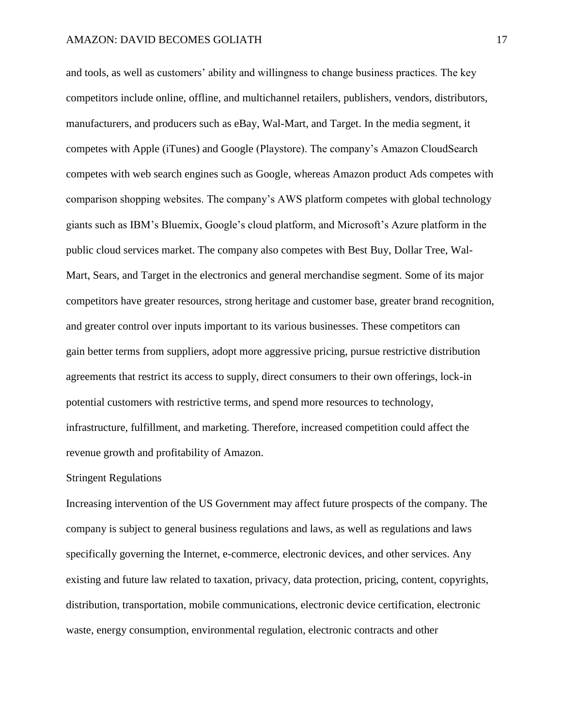and tools, as well as customers' ability and willingness to change business practices. The key competitors include online, offline, and multichannel retailers, publishers, vendors, distributors, manufacturers, and producers such as eBay, Wal-Mart, and Target. In the media segment, it competes with Apple (iTunes) and Google (Playstore). The company's Amazon CloudSearch competes with web search engines such as Google, whereas Amazon product Ads competes with comparison shopping websites. The company's AWS platform competes with global technology giants such as IBM's Bluemix, Google's cloud platform, and Microsoft's Azure platform in the public cloud services market. The company also competes with Best Buy, Dollar Tree, Wal-Mart, Sears, and Target in the electronics and general merchandise segment. Some of its major competitors have greater resources, strong heritage and customer base, greater brand recognition, and greater control over inputs important to its various businesses. These competitors can gain better terms from suppliers, adopt more aggressive pricing, pursue restrictive distribution agreements that restrict its access to supply, direct consumers to their own offerings, lock-in potential customers with restrictive terms, and spend more resources to technology, infrastructure, fulfillment, and marketing. Therefore, increased competition could affect the revenue growth and profitability of Amazon.

#### Stringent Regulations

Increasing intervention of the US Government may affect future prospects of the company. The company is subject to general business regulations and laws, as well as regulations and laws specifically governing the Internet, e-commerce, electronic devices, and other services. Any existing and future law related to taxation, privacy, data protection, pricing, content, copyrights, distribution, transportation, mobile communications, electronic device certification, electronic waste, energy consumption, environmental regulation, electronic contracts and other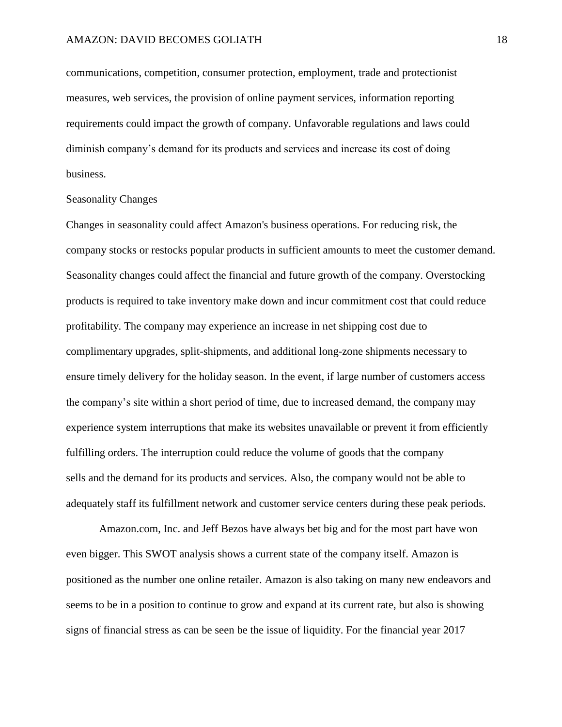communications, competition, consumer protection, employment, trade and protectionist measures, web services, the provision of online payment services, information reporting requirements could impact the growth of company. Unfavorable regulations and laws could diminish company's demand for its products and services and increase its cost of doing business.

#### Seasonality Changes

Changes in seasonality could affect Amazon's business operations. For reducing risk, the company stocks or restocks popular products in sufficient amounts to meet the customer demand. Seasonality changes could affect the financial and future growth of the company. Overstocking products is required to take inventory make down and incur commitment cost that could reduce profitability. The company may experience an increase in net shipping cost due to complimentary upgrades, split-shipments, and additional long-zone shipments necessary to ensure timely delivery for the holiday season. In the event, if large number of customers access the company's site within a short period of time, due to increased demand, the company may experience system interruptions that make its websites unavailable or prevent it from efficiently fulfilling orders. The interruption could reduce the volume of goods that the company sells and the demand for its products and services. Also, the company would not be able to adequately staff its fulfillment network and customer service centers during these peak periods.

Amazon.com, Inc. and Jeff Bezos have always bet big and for the most part have won even bigger. This SWOT analysis shows a current state of the company itself. Amazon is positioned as the number one online retailer. Amazon is also taking on many new endeavors and seems to be in a position to continue to grow and expand at its current rate, but also is showing signs of financial stress as can be seen be the issue of liquidity. For the financial year 2017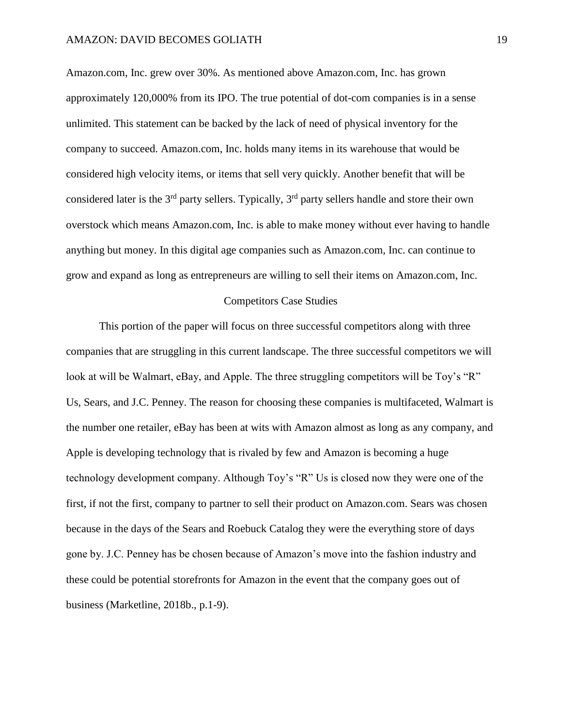Amazon.com, Inc. grew over 30%. As mentioned above Amazon.com, Inc. has grown approximately 120,000% from its IPO. The true potential of dot-com companies is in a sense unlimited. This statement can be backed by the lack of need of physical inventory for the company to succeed. Amazon.com, Inc. holds many items in its warehouse that would be considered high velocity items, or items that sell very quickly. Another benefit that will be considered later is the  $3<sup>rd</sup>$  party sellers. Typically,  $3<sup>rd</sup>$  party sellers handle and store their own overstock which means Amazon.com, Inc. is able to make money without ever having to handle anything but money. In this digital age companies such as Amazon.com, Inc. can continue to grow and expand as long as entrepreneurs are willing to sell their items on Amazon.com, Inc.

#### Competitors Case Studies

This portion of the paper will focus on three successful competitors along with three companies that are struggling in this current landscape. The three successful competitors we will look at will be Walmart, eBay, and Apple. The three struggling competitors will be Toy's "R" Us, Sears, and J.C. Penney. The reason for choosing these companies is multifaceted, Walmart is the number one retailer, eBay has been at wits with Amazon almost as long as any company, and Apple is developing technology that is rivaled by few and Amazon is becoming a huge technology development company. Although Toy's "R" Us is closed now they were one of the first, if not the first, company to partner to sell their product on Amazon.com. Sears was chosen because in the days of the Sears and Roebuck Catalog they were the everything store of days gone by. J.C. Penney has be chosen because of Amazon's move into the fashion industry and these could be potential storefronts for Amazon in the event that the company goes out of business (Marketline, 2018b., p.1-9).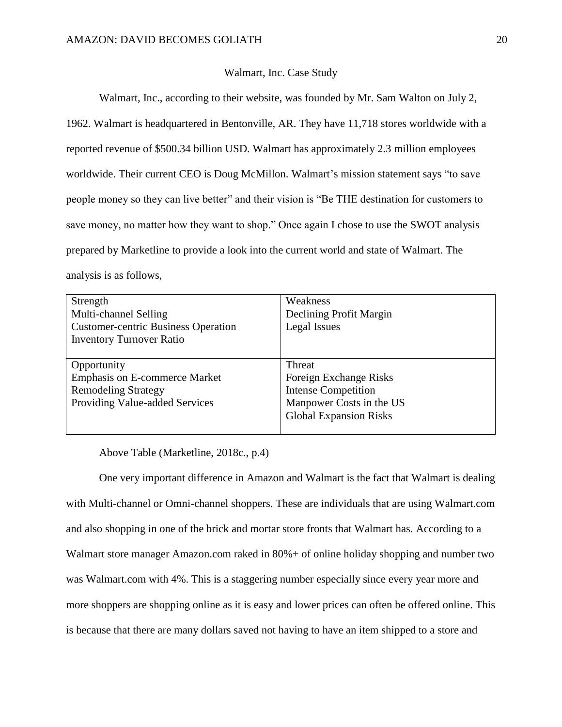#### Walmart, Inc. Case Study

Walmart, Inc., according to their website, was founded by Mr. Sam Walton on July 2, 1962. Walmart is headquartered in Bentonville, AR. They have 11,718 stores worldwide with a reported revenue of \$500.34 billion USD. Walmart has approximately 2.3 million employees worldwide. Their current CEO is Doug McMillon. Walmart's mission statement says "to save people money so they can live better" and their vision is "Be THE destination for customers to save money, no matter how they want to shop." Once again I chose to use the SWOT analysis prepared by Marketline to provide a look into the current world and state of Walmart. The analysis is as follows,

| Strength<br>Multi-channel Selling<br><b>Customer-centric Business Operation</b><br><b>Inventory Turnover Ratio</b>  | Weakness<br>Declining Profit Margin<br>Legal Issues                                                                         |
|---------------------------------------------------------------------------------------------------------------------|-----------------------------------------------------------------------------------------------------------------------------|
| Opportunity<br><b>Emphasis on E-commerce Market</b><br><b>Remodeling Strategy</b><br>Providing Value-added Services | Threat<br>Foreign Exchange Risks<br><b>Intense Competition</b><br>Manpower Costs in the US<br><b>Global Expansion Risks</b> |

Above Table (Marketline, 2018c., p.4)

One very important difference in Amazon and Walmart is the fact that Walmart is dealing with Multi-channel or Omni-channel shoppers. These are individuals that are using Walmart.com and also shopping in one of the brick and mortar store fronts that Walmart has. According to a Walmart store manager Amazon.com raked in 80% + of online holiday shopping and number two was Walmart.com with 4%. This is a staggering number especially since every year more and more shoppers are shopping online as it is easy and lower prices can often be offered online. This is because that there are many dollars saved not having to have an item shipped to a store and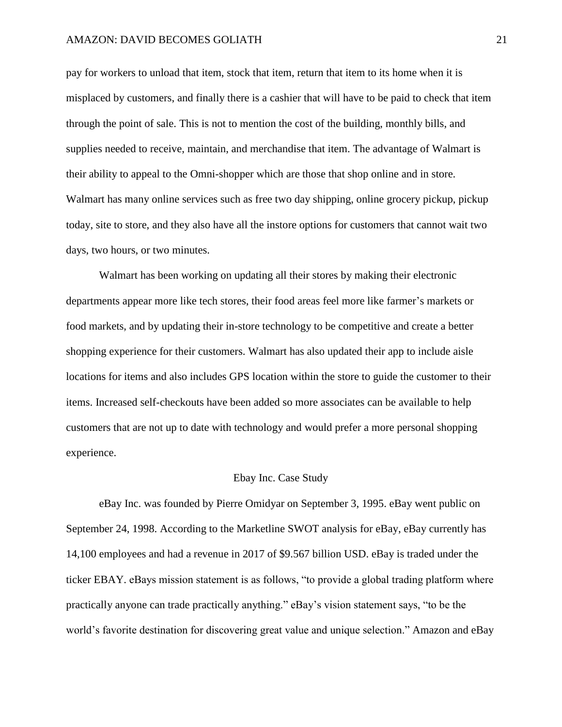pay for workers to unload that item, stock that item, return that item to its home when it is misplaced by customers, and finally there is a cashier that will have to be paid to check that item through the point of sale. This is not to mention the cost of the building, monthly bills, and supplies needed to receive, maintain, and merchandise that item. The advantage of Walmart is their ability to appeal to the Omni-shopper which are those that shop online and in store. Walmart has many online services such as free two day shipping, online grocery pickup, pickup today, site to store, and they also have all the instore options for customers that cannot wait two days, two hours, or two minutes.

Walmart has been working on updating all their stores by making their electronic departments appear more like tech stores, their food areas feel more like farmer's markets or food markets, and by updating their in-store technology to be competitive and create a better shopping experience for their customers. Walmart has also updated their app to include aisle locations for items and also includes GPS location within the store to guide the customer to their items. Increased self-checkouts have been added so more associates can be available to help customers that are not up to date with technology and would prefer a more personal shopping experience.

#### Ebay Inc. Case Study

eBay Inc. was founded by Pierre Omidyar on September 3, 1995. eBay went public on September 24, 1998. According to the Marketline SWOT analysis for eBay, eBay currently has 14,100 employees and had a revenue in 2017 of \$9.567 billion USD. eBay is traded under the ticker EBAY. eBays mission statement is as follows, "to provide a global trading platform where practically anyone can trade practically anything." eBay's vision statement says, "to be the world's favorite destination for discovering great value and unique selection." Amazon and eBay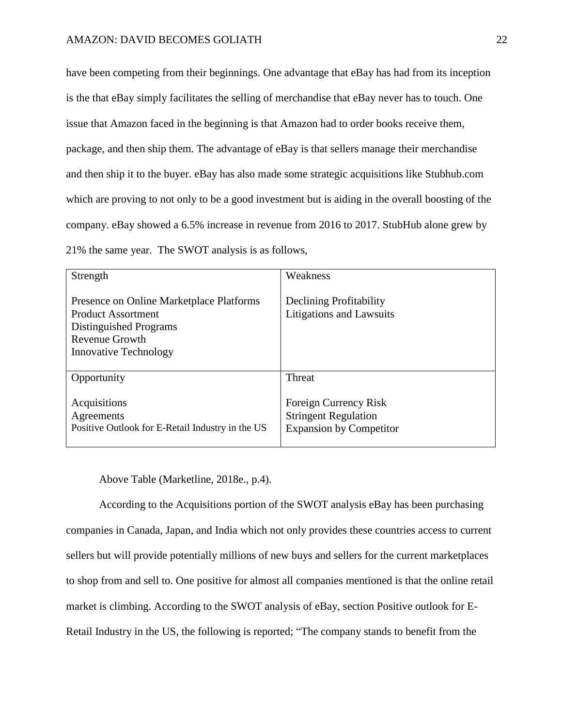have been competing from their beginnings. One advantage that eBay has had from its inception is the that eBay simply facilitates the selling of merchandise that eBay never has to touch. One issue that Amazon faced in the beginning is that Amazon had to order books receive them, package, and then ship them. The advantage of eBay is that sellers manage their merchandise and then ship it to the buyer. eBay has also made some strategic acquisitions like Stubhub.com which are proving to not only to be a good investment but is aiding in the overall boosting of the company. eBay showed a 6.5% increase in revenue from 2016 to 2017. StubHub alone grew by 21% the same year. The SWOT analysis is as follows,

| Strength                                         | Weakness                       |
|--------------------------------------------------|--------------------------------|
|                                                  |                                |
| Presence on Online Marketplace Platforms         | Declining Profitability        |
| Product Assortment                               | Litigations and Lawsuits       |
| Distinguished Programs                           |                                |
| Revenue Growth                                   |                                |
| <b>Innovative Technology</b>                     |                                |
|                                                  |                                |
| Opportunity                                      | <b>Threat</b>                  |
|                                                  |                                |
| Acquisitions                                     | Foreign Currency Risk          |
| Agreements                                       | <b>Stringent Regulation</b>    |
| Positive Outlook for E-Retail Industry in the US | <b>Expansion by Competitor</b> |
|                                                  |                                |

Above Table (Marketline, 2018e., p.4).

According to the Acquisitions portion of the SWOT analysis eBay has been purchasing companies in Canada, Japan, and India which not only provides these countries access to current sellers but will provide potentially millions of new buys and sellers for the current marketplaces to shop from and sell to. One positive for almost all companies mentioned is that the online retail market is climbing. According to the SWOT analysis of eBay, section Positive outlook for E-Retail Industry in the US, the following is reported; "The company stands to benefit from the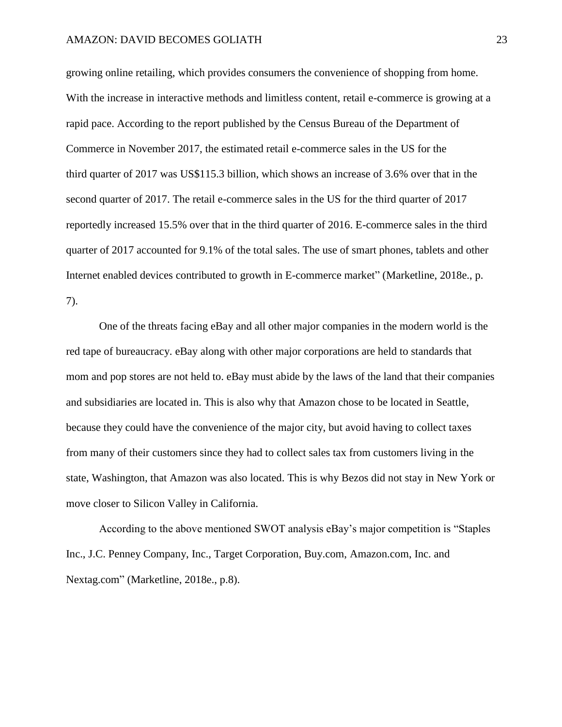growing online retailing, which provides consumers the convenience of shopping from home. With the increase in interactive methods and limitless content, retail e-commerce is growing at a rapid pace. According to the report published by the Census Bureau of the Department of Commerce in November 2017, the estimated retail e-commerce sales in the US for the third quarter of 2017 was US\$115.3 billion, which shows an increase of 3.6% over that in the second quarter of 2017. The retail e-commerce sales in the US for the third quarter of 2017 reportedly increased 15.5% over that in the third quarter of 2016. E-commerce sales in the third quarter of 2017 accounted for 9.1% of the total sales. The use of smart phones, tablets and other Internet enabled devices contributed to growth in E-commerce market" (Marketline, 2018e., p. 7).

One of the threats facing eBay and all other major companies in the modern world is the red tape of bureaucracy. eBay along with other major corporations are held to standards that mom and pop stores are not held to. eBay must abide by the laws of the land that their companies and subsidiaries are located in. This is also why that Amazon chose to be located in Seattle, because they could have the convenience of the major city, but avoid having to collect taxes from many of their customers since they had to collect sales tax from customers living in the state, Washington, that Amazon was also located. This is why Bezos did not stay in New York or move closer to Silicon Valley in California.

According to the above mentioned SWOT analysis eBay's major competition is "Staples Inc., J.C. Penney Company, Inc., Target Corporation, Buy.com, Amazon.com, Inc. and Nextag.com" (Marketline, 2018e., p.8).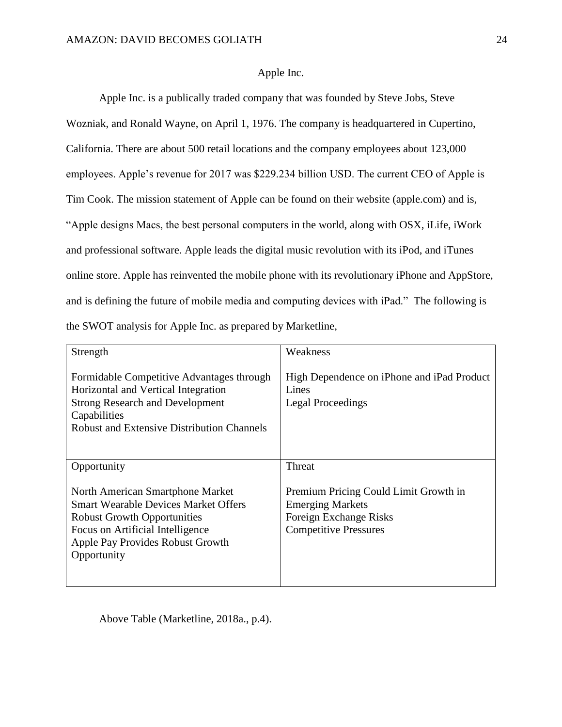#### Apple Inc.

Apple Inc. is a publically traded company that was founded by Steve Jobs, Steve Wozniak, and Ronald Wayne, on April 1, 1976. The company is headquartered in Cupertino, California. There are about 500 retail locations and the company employees about 123,000 employees. Apple's revenue for 2017 was \$229.234 billion USD. The current CEO of Apple is Tim Cook. The mission statement of Apple can be found on their website (apple.com) and is, "Apple designs Macs, the best personal computers in the world, along with OSX, iLife, iWork and professional software. Apple leads the digital music revolution with its iPod, and iTunes online store. Apple has reinvented the mobile phone with its revolutionary iPhone and AppStore, and is defining the future of mobile media and computing devices with iPad." The following is the SWOT analysis for Apple Inc. as prepared by Marketline,

| Strength                                                                                                                                                                                                     | Weakness                                                                                                                   |
|--------------------------------------------------------------------------------------------------------------------------------------------------------------------------------------------------------------|----------------------------------------------------------------------------------------------------------------------------|
| Formidable Competitive Advantages through<br>Horizontal and Vertical Integration<br><b>Strong Research and Development</b><br>Capabilities<br><b>Robust and Extensive Distribution Channels</b>              | High Dependence on iPhone and iPad Product<br>Lines<br><b>Legal Proceedings</b>                                            |
| Opportunity                                                                                                                                                                                                  | <b>Threat</b>                                                                                                              |
| North American Smartphone Market<br><b>Smart Wearable Devices Market Offers</b><br><b>Robust Growth Opportunities</b><br>Focus on Artificial Intelligence<br>Apple Pay Provides Robust Growth<br>Opportunity | Premium Pricing Could Limit Growth in<br><b>Emerging Markets</b><br>Foreign Exchange Risks<br><b>Competitive Pressures</b> |

Above Table (Marketline, 2018a., p.4).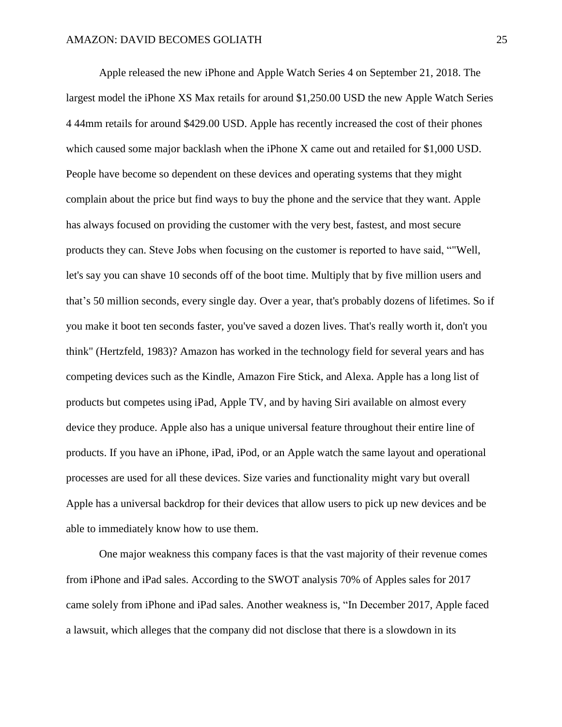Apple released the new iPhone and Apple Watch Series 4 on September 21, 2018. The largest model the iPhone XS Max retails for around \$1,250.00 USD the new Apple Watch Series 4 44mm retails for around \$429.00 USD. Apple has recently increased the cost of their phones which caused some major backlash when the iPhone X came out and retailed for \$1,000 USD. People have become so dependent on these devices and operating systems that they might complain about the price but find ways to buy the phone and the service that they want. Apple has always focused on providing the customer with the very best, fastest, and most secure products they can. Steve Jobs when focusing on the customer is reported to have said, ""Well, let's say you can shave 10 seconds off of the boot time. Multiply that by five million users and that's 50 million seconds, every single day. Over a year, that's probably dozens of lifetimes. So if you make it boot ten seconds faster, you've saved a dozen lives. That's really worth it, don't you think" (Hertzfeld, 1983)? Amazon has worked in the technology field for several years and has competing devices such as the Kindle, Amazon Fire Stick, and Alexa. Apple has a long list of products but competes using iPad, Apple TV, and by having Siri available on almost every device they produce. Apple also has a unique universal feature throughout their entire line of products. If you have an iPhone, iPad, iPod, or an Apple watch the same layout and operational processes are used for all these devices. Size varies and functionality might vary but overall Apple has a universal backdrop for their devices that allow users to pick up new devices and be able to immediately know how to use them.

One major weakness this company faces is that the vast majority of their revenue comes from iPhone and iPad sales. According to the SWOT analysis 70% of Apples sales for 2017 came solely from iPhone and iPad sales. Another weakness is, "In December 2017, Apple faced a lawsuit, which alleges that the company did not disclose that there is a slowdown in its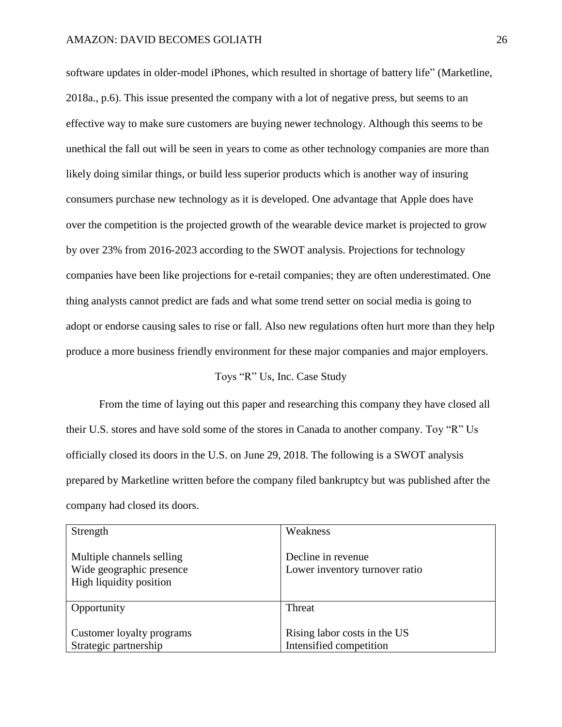software updates in older-model iPhones, which resulted in shortage of battery life" (Marketline, 2018a., p.6). This issue presented the company with a lot of negative press, but seems to an effective way to make sure customers are buying newer technology. Although this seems to be unethical the fall out will be seen in years to come as other technology companies are more than likely doing similar things, or build less superior products which is another way of insuring consumers purchase new technology as it is developed. One advantage that Apple does have over the competition is the projected growth of the wearable device market is projected to grow by over 23% from 2016-2023 according to the SWOT analysis. Projections for technology companies have been like projections for e-retail companies; they are often underestimated. One thing analysts cannot predict are fads and what some trend setter on social media is going to adopt or endorse causing sales to rise or fall. Also new regulations often hurt more than they help produce a more business friendly environment for these major companies and major employers.

#### Toys "R" Us, Inc. Case Study

From the time of laying out this paper and researching this company they have closed all their U.S. stores and have sold some of the stores in Canada to another company. Toy "R" Us officially closed its doors in the U.S. on June 29, 2018. The following is a SWOT analysis prepared by Marketline written before the company filed bankruptcy but was published after the company had closed its doors.

| Strength                                                                         | Weakness                                                |
|----------------------------------------------------------------------------------|---------------------------------------------------------|
| Multiple channels selling<br>Wide geographic presence<br>High liquidity position | Decline in revenue<br>Lower inventory turnover ratio    |
| Opportunity                                                                      | Threat                                                  |
| Customer loyalty programs<br>Strategic partnership                               | Rising labor costs in the US<br>Intensified competition |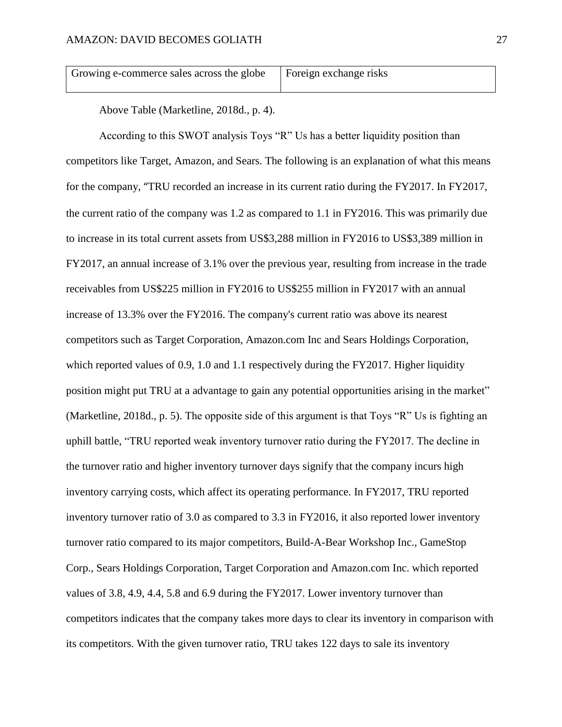| Growing e-commerce sales across the globe   Foreign exchange risks |
|--------------------------------------------------------------------|
|                                                                    |

Above Table (Marketline, 2018d., p. 4).

According to this SWOT analysis Toys "R" Us has a better liquidity position than competitors like Target, Amazon, and Sears. The following is an explanation of what this means for the company, "TRU recorded an increase in its current ratio during the FY2017. In FY2017, the current ratio of the company was 1.2 as compared to 1.1 in FY2016. This was primarily due to increase in its total current assets from US\$3,288 million in FY2016 to US\$3,389 million in FY2017, an annual increase of 3.1% over the previous year, resulting from increase in the trade receivables from US\$225 million in FY2016 to US\$255 million in FY2017 with an annual increase of 13.3% over the FY2016. The company's current ratio was above its nearest competitors such as Target Corporation, Amazon.com Inc and Sears Holdings Corporation, which reported values of 0.9, 1.0 and 1.1 respectively during the FY2017. Higher liquidity position might put TRU at a advantage to gain any potential opportunities arising in the market" (Marketline, 2018d., p. 5). The opposite side of this argument is that Toys "R" Us is fighting an uphill battle, "TRU reported weak inventory turnover ratio during the FY2017. The decline in the turnover ratio and higher inventory turnover days signify that the company incurs high inventory carrying costs, which affect its operating performance. In FY2017, TRU reported inventory turnover ratio of 3.0 as compared to 3.3 in FY2016, it also reported lower inventory turnover ratio compared to its major competitors, Build-A-Bear Workshop Inc., GameStop Corp., Sears Holdings Corporation, Target Corporation and Amazon.com Inc. which reported values of 3.8, 4.9, 4.4, 5.8 and 6.9 during the FY2017. Lower inventory turnover than competitors indicates that the company takes more days to clear its inventory in comparison with its competitors. With the given turnover ratio, TRU takes 122 days to sale its inventory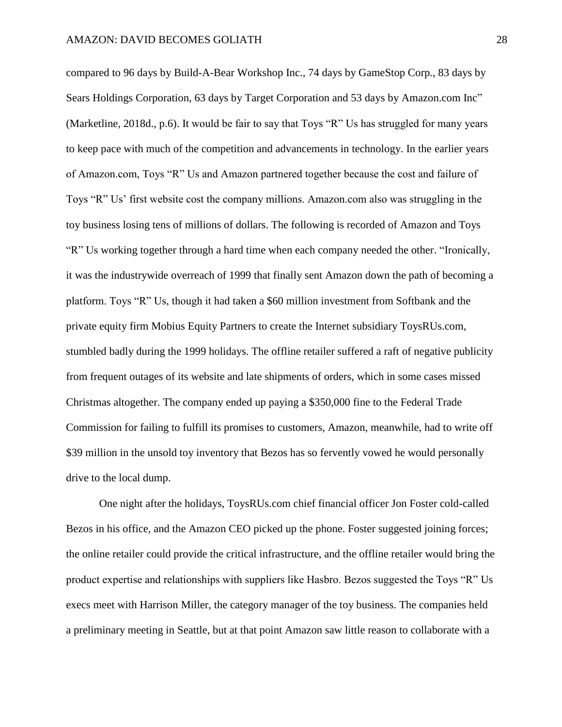compared to 96 days by Build-A-Bear Workshop Inc., 74 days by GameStop Corp., 83 days by Sears Holdings Corporation, 63 days by Target Corporation and 53 days by Amazon.com Inc" (Marketline, 2018d., p.6). It would be fair to say that Toys "R" Us has struggled for many years to keep pace with much of the competition and advancements in technology. In the earlier years of Amazon.com, Toys "R" Us and Amazon partnered together because the cost and failure of Toys "R" Us' first website cost the company millions. Amazon.com also was struggling in the toy business losing tens of millions of dollars. The following is recorded of Amazon and Toys "R" Us working together through a hard time when each company needed the other. "Ironically, it was the industrywide overreach of 1999 that finally sent Amazon down the path of becoming a platform. Toys "R" Us, though it had taken a \$60 million investment from Softbank and the private equity firm Mobius Equity Partners to create the Internet subsidiary ToysRUs.com, stumbled badly during the 1999 holidays. The offline retailer suffered a raft of negative publicity from frequent outages of its website and late shipments of orders, which in some cases missed Christmas altogether. The company ended up paying a \$350,000 fine to the Federal Trade Commission for failing to fulfill its promises to customers, Amazon, meanwhile, had to write off \$39 million in the unsold toy inventory that Bezos has so fervently vowed he would personally drive to the local dump.

One night after the holidays, ToysRUs.com chief financial officer Jon Foster cold-called Bezos in his office, and the Amazon CEO picked up the phone. Foster suggested joining forces; the online retailer could provide the critical infrastructure, and the offline retailer would bring the product expertise and relationships with suppliers like Hasbro. Bezos suggested the Toys "R" Us execs meet with Harrison Miller, the category manager of the toy business. The companies held a preliminary meeting in Seattle, but at that point Amazon saw little reason to collaborate with a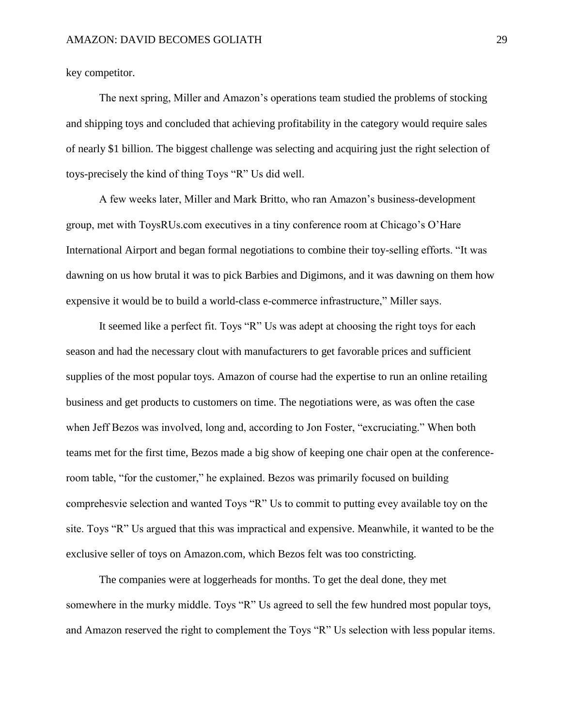key competitor.

The next spring, Miller and Amazon's operations team studied the problems of stocking and shipping toys and concluded that achieving profitability in the category would require sales of nearly \$1 billion. The biggest challenge was selecting and acquiring just the right selection of toys-precisely the kind of thing Toys "R" Us did well.

A few weeks later, Miller and Mark Britto, who ran Amazon's business-development group, met with ToysRUs.com executives in a tiny conference room at Chicago's O'Hare International Airport and began formal negotiations to combine their toy-selling efforts. "It was dawning on us how brutal it was to pick Barbies and Digimons, and it was dawning on them how expensive it would be to build a world-class e-commerce infrastructure," Miller says.

It seemed like a perfect fit. Toys "R" Us was adept at choosing the right toys for each season and had the necessary clout with manufacturers to get favorable prices and sufficient supplies of the most popular toys. Amazon of course had the expertise to run an online retailing business and get products to customers on time. The negotiations were, as was often the case when Jeff Bezos was involved, long and, according to Jon Foster, "excruciating." When both teams met for the first time, Bezos made a big show of keeping one chair open at the conferenceroom table, "for the customer," he explained. Bezos was primarily focused on building comprehesvie selection and wanted Toys "R" Us to commit to putting evey available toy on the site. Toys "R" Us argued that this was impractical and expensive. Meanwhile, it wanted to be the exclusive seller of toys on Amazon.com, which Bezos felt was too constricting.

The companies were at loggerheads for months. To get the deal done, they met somewhere in the murky middle. Toys "R" Us agreed to sell the few hundred most popular toys, and Amazon reserved the right to complement the Toys "R" Us selection with less popular items.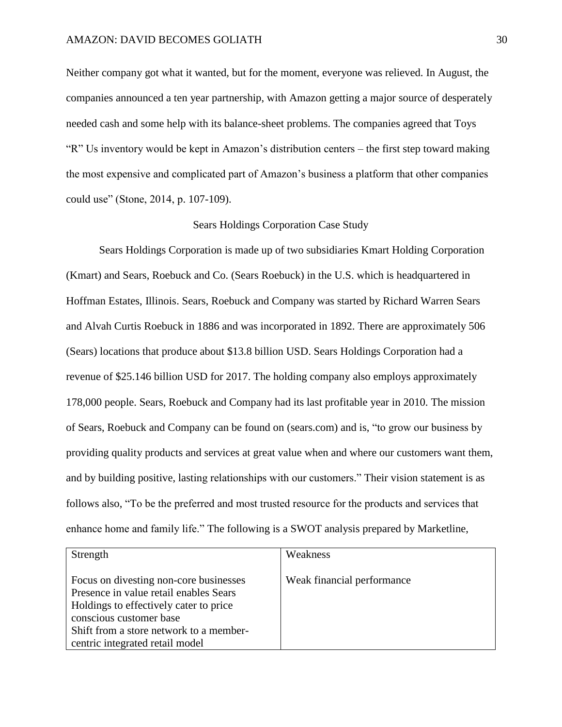Neither company got what it wanted, but for the moment, everyone was relieved. In August, the companies announced a ten year partnership, with Amazon getting a major source of desperately needed cash and some help with its balance-sheet problems. The companies agreed that Toys "R" Us inventory would be kept in Amazon's distribution centers – the first step toward making the most expensive and complicated part of Amazon's business a platform that other companies could use" (Stone, 2014, p. 107-109).

#### Sears Holdings Corporation Case Study

Sears Holdings Corporation is made up of two subsidiaries Kmart Holding Corporation (Kmart) and Sears, Roebuck and Co. (Sears Roebuck) in the U.S. which is headquartered in Hoffman Estates, Illinois. Sears, Roebuck and Company was started by Richard Warren Sears and Alvah Curtis Roebuck in 1886 and was incorporated in 1892. There are approximately 506 (Sears) locations that produce about \$13.8 billion USD. Sears Holdings Corporation had a revenue of \$25.146 billion USD for 2017. The holding company also employs approximately 178,000 people. Sears, Roebuck and Company had its last profitable year in 2010. The mission of Sears, Roebuck and Company can be found on (sears.com) and is, "to grow our business by providing quality products and services at great value when and where our customers want them, and by building positive, lasting relationships with our customers." Their vision statement is as follows also, "To be the preferred and most trusted resource for the products and services that enhance home and family life." The following is a SWOT analysis prepared by Marketline,

| Strength                                                                                                                                                                                                                            | Weakness                   |
|-------------------------------------------------------------------------------------------------------------------------------------------------------------------------------------------------------------------------------------|----------------------------|
| Focus on divesting non-core businesses<br>Presence in value retail enables Sears<br>Holdings to effectively cater to price<br>conscious customer base<br>Shift from a store network to a member-<br>centric integrated retail model | Weak financial performance |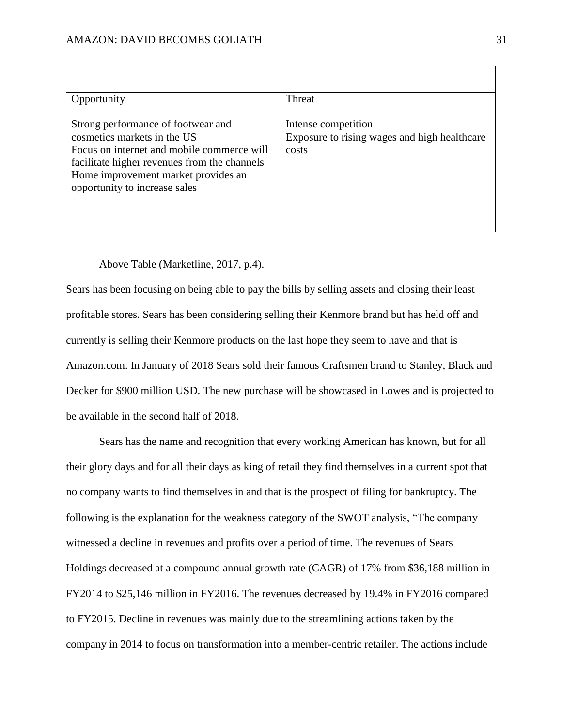| Opportunity                                                                                                                                                                                                                             | <b>Threat</b>                                                                |
|-----------------------------------------------------------------------------------------------------------------------------------------------------------------------------------------------------------------------------------------|------------------------------------------------------------------------------|
| Strong performance of footwear and<br>cosmetics markets in the US<br>Focus on internet and mobile commerce will<br>facilitate higher revenues from the channels<br>Home improvement market provides an<br>opportunity to increase sales | Intense competition<br>Exposure to rising wages and high healthcare<br>costs |

Above Table (Marketline, 2017, p.4).

Sears has been focusing on being able to pay the bills by selling assets and closing their least profitable stores. Sears has been considering selling their Kenmore brand but has held off and currently is selling their Kenmore products on the last hope they seem to have and that is Amazon.com. In January of 2018 Sears sold their famous Craftsmen brand to Stanley, Black and Decker for \$900 million USD. The new purchase will be showcased in Lowes and is projected to be available in the second half of 2018.

Sears has the name and recognition that every working American has known, but for all their glory days and for all their days as king of retail they find themselves in a current spot that no company wants to find themselves in and that is the prospect of filing for bankruptcy. The following is the explanation for the weakness category of the SWOT analysis, "The company witnessed a decline in revenues and profits over a period of time. The revenues of Sears Holdings decreased at a compound annual growth rate (CAGR) of 17% from \$36,188 million in FY2014 to \$25,146 million in FY2016. The revenues decreased by 19.4% in FY2016 compared to FY2015. Decline in revenues was mainly due to the streamlining actions taken by the company in 2014 to focus on transformation into a member-centric retailer. The actions include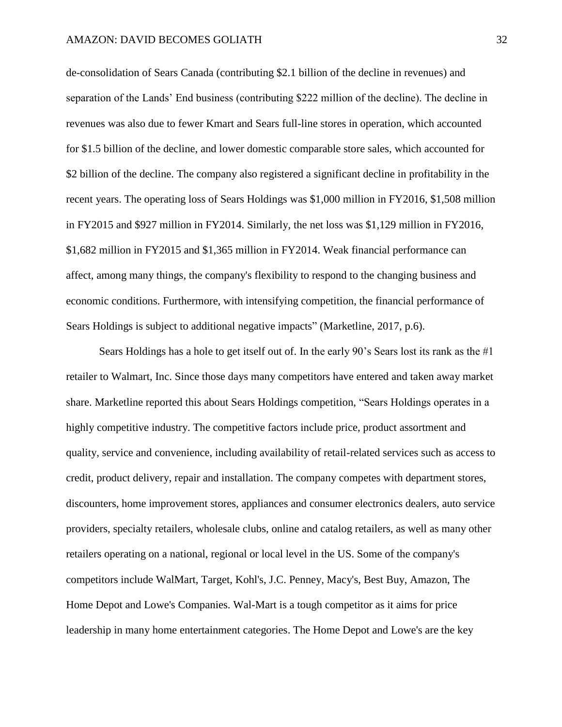de-consolidation of Sears Canada (contributing \$2.1 billion of the decline in revenues) and separation of the Lands' End business (contributing \$222 million of the decline). The decline in revenues was also due to fewer Kmart and Sears full-line stores in operation, which accounted for \$1.5 billion of the decline, and lower domestic comparable store sales, which accounted for \$2 billion of the decline. The company also registered a significant decline in profitability in the recent years. The operating loss of Sears Holdings was \$1,000 million in FY2016, \$1,508 million in FY2015 and \$927 million in FY2014. Similarly, the net loss was \$1,129 million in FY2016, \$1,682 million in FY2015 and \$1,365 million in FY2014. Weak financial performance can affect, among many things, the company's flexibility to respond to the changing business and economic conditions. Furthermore, with intensifying competition, the financial performance of Sears Holdings is subject to additional negative impacts" (Marketline, 2017, p.6).

Sears Holdings has a hole to get itself out of. In the early 90's Sears lost its rank as the  $\#1$ retailer to Walmart, Inc. Since those days many competitors have entered and taken away market share. Marketline reported this about Sears Holdings competition, "Sears Holdings operates in a highly competitive industry. The competitive factors include price, product assortment and quality, service and convenience, including availability of retail-related services such as access to credit, product delivery, repair and installation. The company competes with department stores, discounters, home improvement stores, appliances and consumer electronics dealers, auto service providers, specialty retailers, wholesale clubs, online and catalog retailers, as well as many other retailers operating on a national, regional or local level in the US. Some of the company's competitors include WalMart, Target, Kohl's, J.C. Penney, Macy's, Best Buy, Amazon, The Home Depot and Lowe's Companies. Wal-Mart is a tough competitor as it aims for price leadership in many home entertainment categories. The Home Depot and Lowe's are the key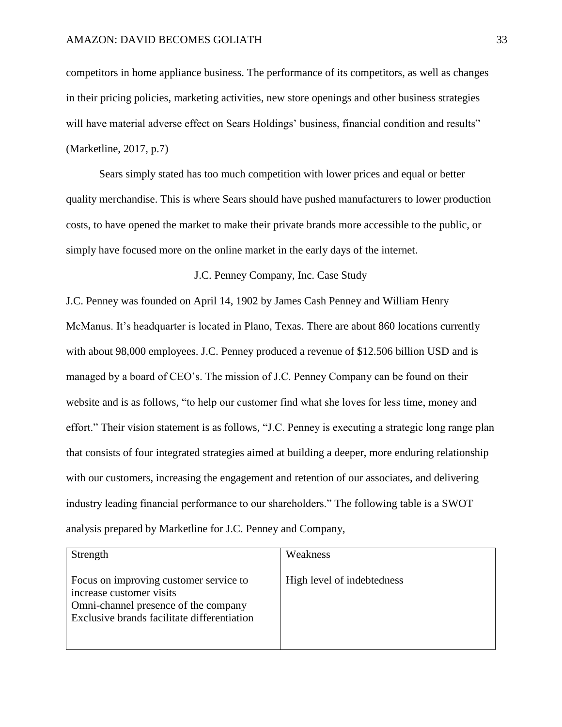competitors in home appliance business. The performance of its competitors, as well as changes in their pricing policies, marketing activities, new store openings and other business strategies will have material adverse effect on Sears Holdings' business, financial condition and results" (Marketline, 2017, p.7)

Sears simply stated has too much competition with lower prices and equal or better quality merchandise. This is where Sears should have pushed manufacturers to lower production costs, to have opened the market to make their private brands more accessible to the public, or simply have focused more on the online market in the early days of the internet.

#### J.C. Penney Company, Inc. Case Study

J.C. Penney was founded on April 14, 1902 by James Cash Penney and William Henry McManus. It's headquarter is located in Plano, Texas. There are about 860 locations currently with about 98,000 employees. J.C. Penney produced a revenue of \$12.506 billion USD and is managed by a board of CEO's. The mission of J.C. Penney Company can be found on their website and is as follows, "to help our customer find what she loves for less time, money and effort." Their vision statement is as follows, "J.C. Penney is executing a strategic long range plan that consists of four integrated strategies aimed at building a deeper, more enduring relationship with our customers, increasing the engagement and retention of our associates, and delivering industry leading financial performance to our shareholders." The following table is a SWOT analysis prepared by Marketline for J.C. Penney and Company,

| Strength                                                                                                                                                  | Weakness                   |
|-----------------------------------------------------------------------------------------------------------------------------------------------------------|----------------------------|
| Focus on improving customer service to<br>increase customer visits<br>Omni-channel presence of the company<br>Exclusive brands facilitate differentiation | High level of indebtedness |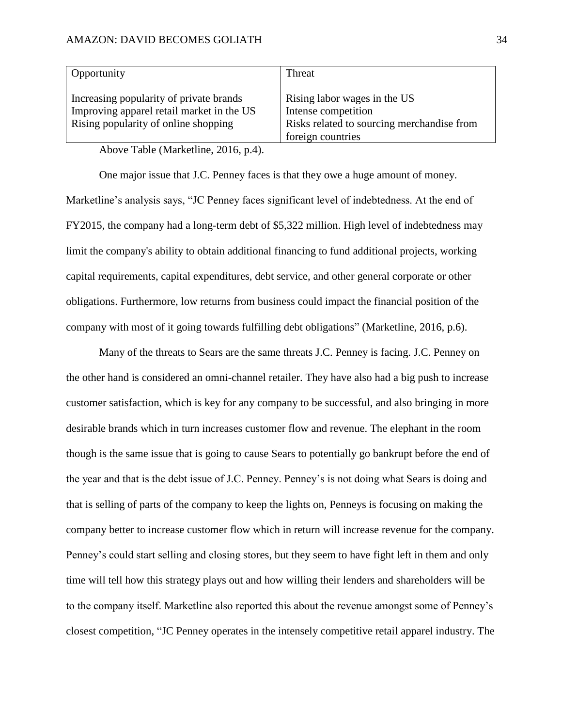| Opportunity                                                                                                                  | Threat                                                                                                                 |
|------------------------------------------------------------------------------------------------------------------------------|------------------------------------------------------------------------------------------------------------------------|
| Increasing popularity of private brands<br>Improving apparel retail market in the US<br>Rising popularity of online shopping | Rising labor wages in the US<br>Intense competition<br>Risks related to sourcing merchandise from<br>foreign countries |

Above Table (Marketline, 2016, p.4).

One major issue that J.C. Penney faces is that they owe a huge amount of money. Marketline's analysis says, "JC Penney faces significant level of indebtedness. At the end of FY2015, the company had a long-term debt of \$5,322 million. High level of indebtedness may limit the company's ability to obtain additional financing to fund additional projects, working capital requirements, capital expenditures, debt service, and other general corporate or other obligations. Furthermore, low returns from business could impact the financial position of the company with most of it going towards fulfilling debt obligations" (Marketline, 2016, p.6).

Many of the threats to Sears are the same threats J.C. Penney is facing. J.C. Penney on the other hand is considered an omni-channel retailer. They have also had a big push to increase customer satisfaction, which is key for any company to be successful, and also bringing in more desirable brands which in turn increases customer flow and revenue. The elephant in the room though is the same issue that is going to cause Sears to potentially go bankrupt before the end of the year and that is the debt issue of J.C. Penney. Penney's is not doing what Sears is doing and that is selling of parts of the company to keep the lights on, Penneys is focusing on making the company better to increase customer flow which in return will increase revenue for the company. Penney's could start selling and closing stores, but they seem to have fight left in them and only time will tell how this strategy plays out and how willing their lenders and shareholders will be to the company itself. Marketline also reported this about the revenue amongst some of Penney's closest competition, "JC Penney operates in the intensely competitive retail apparel industry. The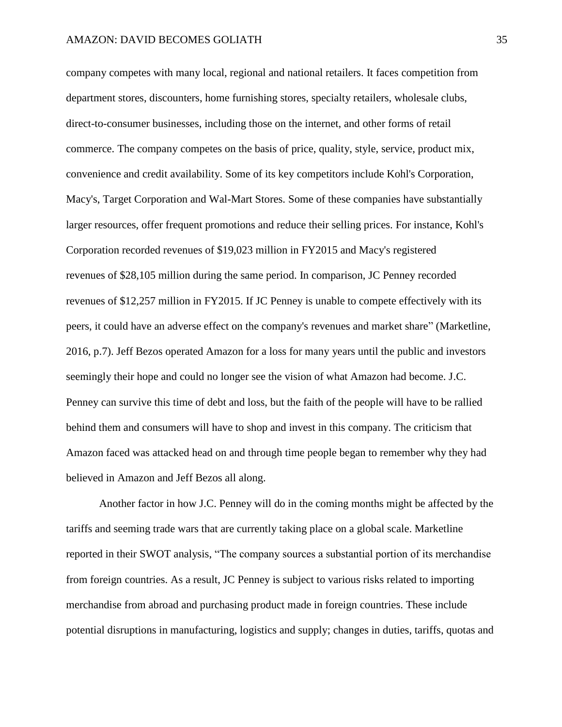company competes with many local, regional and national retailers. It faces competition from department stores, discounters, home furnishing stores, specialty retailers, wholesale clubs, direct-to-consumer businesses, including those on the internet, and other forms of retail commerce. The company competes on the basis of price, quality, style, service, product mix, convenience and credit availability. Some of its key competitors include Kohl's Corporation, Macy's, Target Corporation and Wal-Mart Stores. Some of these companies have substantially larger resources, offer frequent promotions and reduce their selling prices. For instance, Kohl's Corporation recorded revenues of \$19,023 million in FY2015 and Macy's registered revenues of \$28,105 million during the same period. In comparison, JC Penney recorded revenues of \$12,257 million in FY2015. If JC Penney is unable to compete effectively with its peers, it could have an adverse effect on the company's revenues and market share" (Marketline, 2016, p.7). Jeff Bezos operated Amazon for a loss for many years until the public and investors seemingly their hope and could no longer see the vision of what Amazon had become. J.C. Penney can survive this time of debt and loss, but the faith of the people will have to be rallied behind them and consumers will have to shop and invest in this company. The criticism that Amazon faced was attacked head on and through time people began to remember why they had believed in Amazon and Jeff Bezos all along.

Another factor in how J.C. Penney will do in the coming months might be affected by the tariffs and seeming trade wars that are currently taking place on a global scale. Marketline reported in their SWOT analysis, "The company sources a substantial portion of its merchandise from foreign countries. As a result, JC Penney is subject to various risks related to importing merchandise from abroad and purchasing product made in foreign countries. These include potential disruptions in manufacturing, logistics and supply; changes in duties, tariffs, quotas and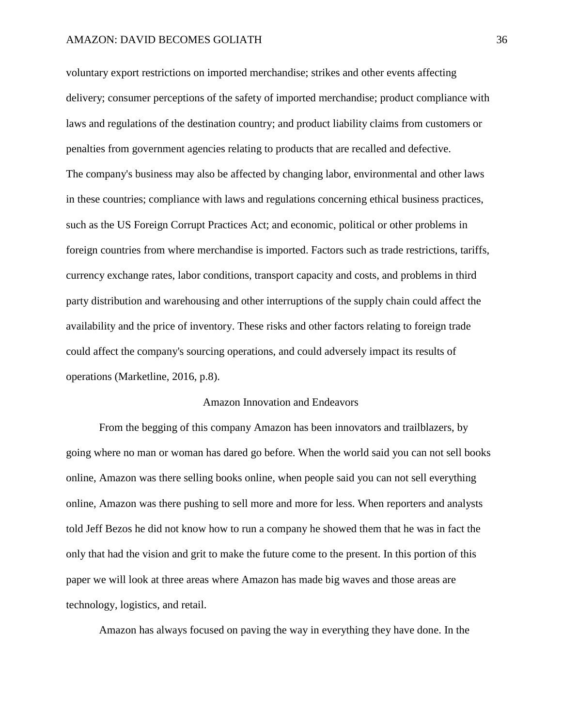voluntary export restrictions on imported merchandise; strikes and other events affecting delivery; consumer perceptions of the safety of imported merchandise; product compliance with laws and regulations of the destination country; and product liability claims from customers or penalties from government agencies relating to products that are recalled and defective. The company's business may also be affected by changing labor, environmental and other laws in these countries; compliance with laws and regulations concerning ethical business practices, such as the US Foreign Corrupt Practices Act; and economic, political or other problems in foreign countries from where merchandise is imported. Factors such as trade restrictions, tariffs, currency exchange rates, labor conditions, transport capacity and costs, and problems in third party distribution and warehousing and other interruptions of the supply chain could affect the availability and the price of inventory. These risks and other factors relating to foreign trade could affect the company's sourcing operations, and could adversely impact its results of operations (Marketline, 2016, p.8).

#### Amazon Innovation and Endeavors

From the begging of this company Amazon has been innovators and trailblazers, by going where no man or woman has dared go before. When the world said you can not sell books online, Amazon was there selling books online, when people said you can not sell everything online, Amazon was there pushing to sell more and more for less. When reporters and analysts told Jeff Bezos he did not know how to run a company he showed them that he was in fact the only that had the vision and grit to make the future come to the present. In this portion of this paper we will look at three areas where Amazon has made big waves and those areas are technology, logistics, and retail.

Amazon has always focused on paving the way in everything they have done. In the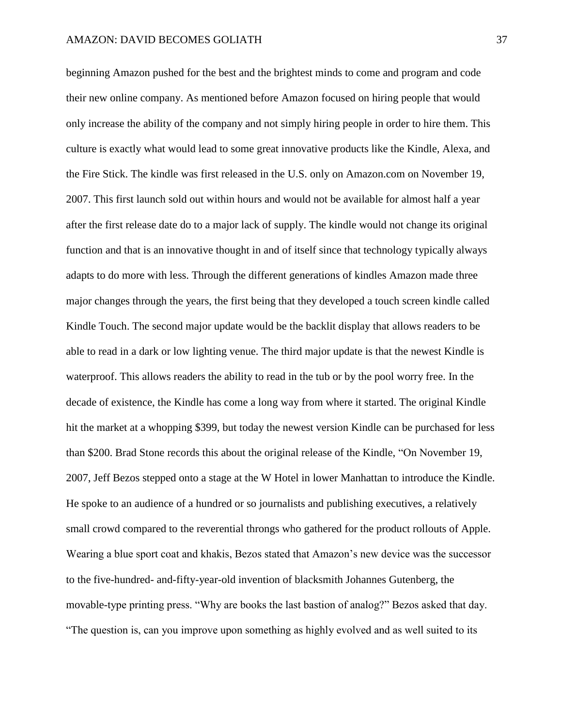beginning Amazon pushed for the best and the brightest minds to come and program and code their new online company. As mentioned before Amazon focused on hiring people that would only increase the ability of the company and not simply hiring people in order to hire them. This culture is exactly what would lead to some great innovative products like the Kindle, Alexa, and the Fire Stick. The kindle was first released in the U.S. only on Amazon.com on November 19, 2007. This first launch sold out within hours and would not be available for almost half a year after the first release date do to a major lack of supply. The kindle would not change its original function and that is an innovative thought in and of itself since that technology typically always adapts to do more with less. Through the different generations of kindles Amazon made three major changes through the years, the first being that they developed a touch screen kindle called Kindle Touch. The second major update would be the backlit display that allows readers to be able to read in a dark or low lighting venue. The third major update is that the newest Kindle is waterproof. This allows readers the ability to read in the tub or by the pool worry free. In the decade of existence, the Kindle has come a long way from where it started. The original Kindle hit the market at a whopping \$399, but today the newest version Kindle can be purchased for less than \$200. Brad Stone records this about the original release of the Kindle, "On November 19, 2007, Jeff Bezos stepped onto a stage at the W Hotel in lower Manhattan to introduce the Kindle. He spoke to an audience of a hundred or so journalists and publishing executives, a relatively small crowd compared to the reverential throngs who gathered for the product rollouts of Apple. Wearing a blue sport coat and khakis, Bezos stated that Amazon's new device was the successor to the five-hundred- and-fifty-year-old invention of blacksmith Johannes Gutenberg, the movable-type printing press. "Why are books the last bastion of analog?" Bezos asked that day. "The question is, can you improve upon something as highly evolved and as well suited to its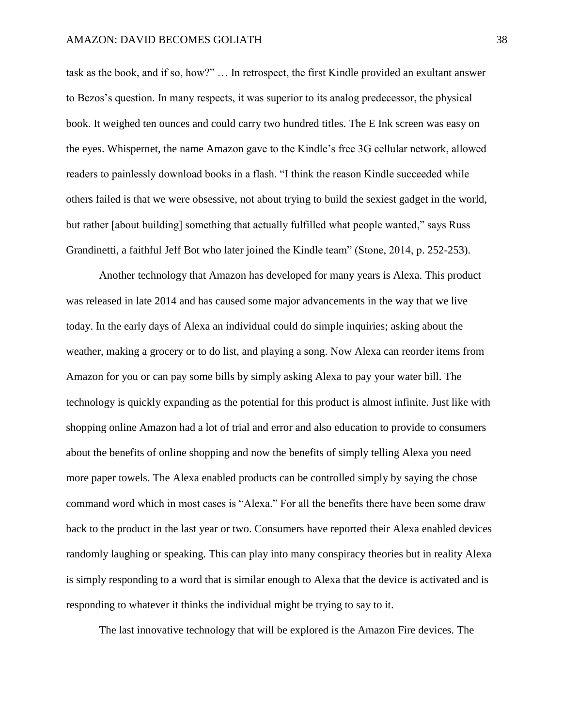task as the book, and if so, how?" … In retrospect, the first Kindle provided an exultant answer to Bezos's question. In many respects, it was superior to its analog predecessor, the physical book. It weighed ten ounces and could carry two hundred titles. The E Ink screen was easy on the eyes. Whispernet, the name Amazon gave to the Kindle's free 3G cellular network, allowed readers to painlessly download books in a flash. "I think the reason Kindle succeeded while others failed is that we were obsessive, not about trying to build the sexiest gadget in the world, but rather [about building] something that actually fulfilled what people wanted," says Russ Grandinetti, a faithful Jeff Bot who later joined the Kindle team" (Stone, 2014, p. 252-253).

Another technology that Amazon has developed for many years is Alexa. This product was released in late 2014 and has caused some major advancements in the way that we live today. In the early days of Alexa an individual could do simple inquiries; asking about the weather, making a grocery or to do list, and playing a song. Now Alexa can reorder items from Amazon for you or can pay some bills by simply asking Alexa to pay your water bill. The technology is quickly expanding as the potential for this product is almost infinite. Just like with shopping online Amazon had a lot of trial and error and also education to provide to consumers about the benefits of online shopping and now the benefits of simply telling Alexa you need more paper towels. The Alexa enabled products can be controlled simply by saying the chose command word which in most cases is "Alexa." For all the benefits there have been some draw back to the product in the last year or two. Consumers have reported their Alexa enabled devices randomly laughing or speaking. This can play into many conspiracy theories but in reality Alexa is simply responding to a word that is similar enough to Alexa that the device is activated and is responding to whatever it thinks the individual might be trying to say to it.

The last innovative technology that will be explored is the Amazon Fire devices. The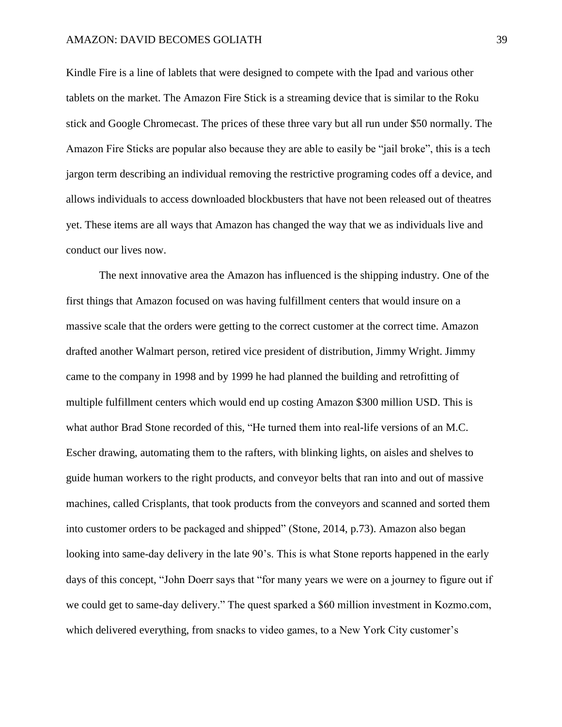Kindle Fire is a line of lablets that were designed to compete with the Ipad and various other tablets on the market. The Amazon Fire Stick is a streaming device that is similar to the Roku stick and Google Chromecast. The prices of these three vary but all run under \$50 normally. The Amazon Fire Sticks are popular also because they are able to easily be "jail broke", this is a tech jargon term describing an individual removing the restrictive programing codes off a device, and allows individuals to access downloaded blockbusters that have not been released out of theatres yet. These items are all ways that Amazon has changed the way that we as individuals live and conduct our lives now.

The next innovative area the Amazon has influenced is the shipping industry. One of the first things that Amazon focused on was having fulfillment centers that would insure on a massive scale that the orders were getting to the correct customer at the correct time. Amazon drafted another Walmart person, retired vice president of distribution, Jimmy Wright. Jimmy came to the company in 1998 and by 1999 he had planned the building and retrofitting of multiple fulfillment centers which would end up costing Amazon \$300 million USD. This is what author Brad Stone recorded of this, "He turned them into real-life versions of an M.C. Escher drawing, automating them to the rafters, with blinking lights, on aisles and shelves to guide human workers to the right products, and conveyor belts that ran into and out of massive machines, called Crisplants, that took products from the conveyors and scanned and sorted them into customer orders to be packaged and shipped" (Stone, 2014, p.73). Amazon also began looking into same-day delivery in the late 90's. This is what Stone reports happened in the early days of this concept, "John Doerr says that "for many years we were on a journey to figure out if we could get to same-day delivery." The quest sparked a \$60 million investment in Kozmo.com, which delivered everything, from snacks to video games, to a New York City customer's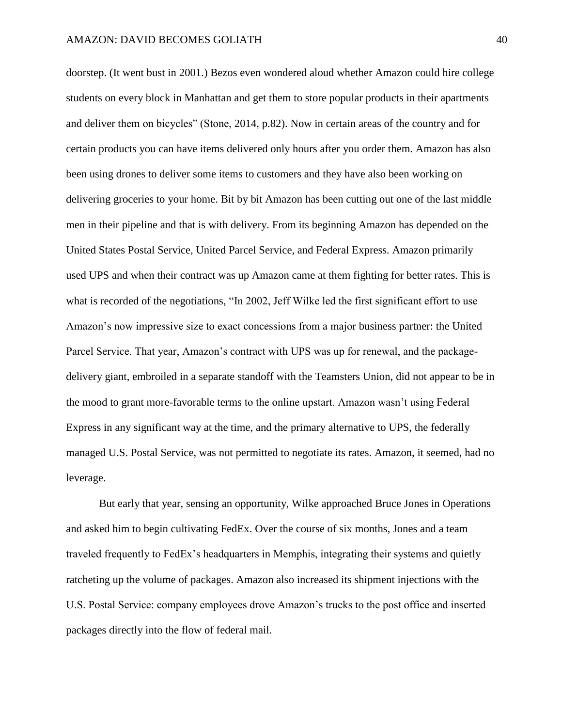doorstep. (It went bust in 2001.) Bezos even wondered aloud whether Amazon could hire college students on every block in Manhattan and get them to store popular products in their apartments and deliver them on bicycles" (Stone, 2014, p.82). Now in certain areas of the country and for certain products you can have items delivered only hours after you order them. Amazon has also been using drones to deliver some items to customers and they have also been working on delivering groceries to your home. Bit by bit Amazon has been cutting out one of the last middle men in their pipeline and that is with delivery. From its beginning Amazon has depended on the United States Postal Service, United Parcel Service, and Federal Express. Amazon primarily used UPS and when their contract was up Amazon came at them fighting for better rates. This is what is recorded of the negotiations, "In 2002, Jeff Wilke led the first significant effort to use Amazon's now impressive size to exact concessions from a major business partner: the United Parcel Service. That year, Amazon's contract with UPS was up for renewal, and the packagedelivery giant, embroiled in a separate standoff with the Teamsters Union, did not appear to be in the mood to grant more-favorable terms to the online upstart. Amazon wasn't using Federal Express in any significant way at the time, and the primary alternative to UPS, the federally managed U.S. Postal Service, was not permitted to negotiate its rates. Amazon, it seemed, had no leverage.

But early that year, sensing an opportunity, Wilke approached Bruce Jones in Operations and asked him to begin cultivating FedEx. Over the course of six months, Jones and a team traveled frequently to FedEx's headquarters in Memphis, integrating their systems and quietly ratcheting up the volume of packages. Amazon also increased its shipment injections with the U.S. Postal Service: company employees drove Amazon's trucks to the post office and inserted packages directly into the flow of federal mail.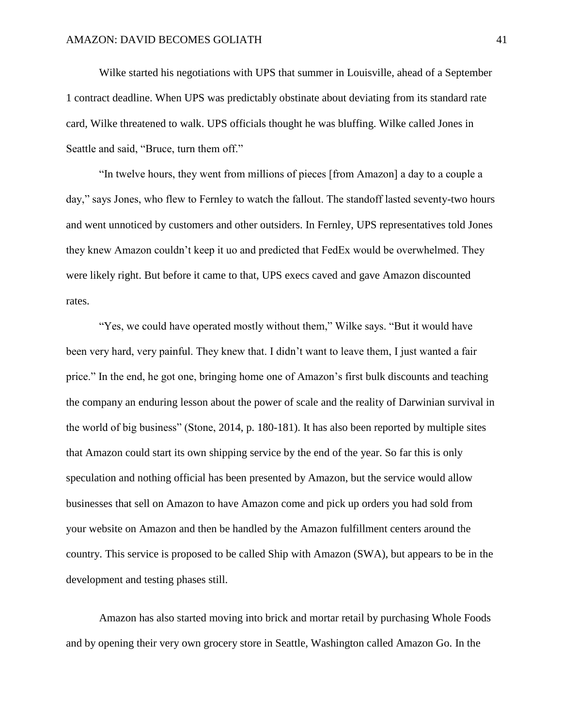Wilke started his negotiations with UPS that summer in Louisville, ahead of a September 1 contract deadline. When UPS was predictably obstinate about deviating from its standard rate card, Wilke threatened to walk. UPS officials thought he was bluffing. Wilke called Jones in Seattle and said, "Bruce, turn them off."

"In twelve hours, they went from millions of pieces [from Amazon] a day to a couple a day," says Jones, who flew to Fernley to watch the fallout. The standoff lasted seventy-two hours and went unnoticed by customers and other outsiders. In Fernley, UPS representatives told Jones they knew Amazon couldn't keep it uo and predicted that FedEx would be overwhelmed. They were likely right. But before it came to that, UPS execs caved and gave Amazon discounted rates.

"Yes, we could have operated mostly without them," Wilke says. "But it would have been very hard, very painful. They knew that. I didn't want to leave them, I just wanted a fair price." In the end, he got one, bringing home one of Amazon's first bulk discounts and teaching the company an enduring lesson about the power of scale and the reality of Darwinian survival in the world of big business" (Stone, 2014, p. 180-181). It has also been reported by multiple sites that Amazon could start its own shipping service by the end of the year. So far this is only speculation and nothing official has been presented by Amazon, but the service would allow businesses that sell on Amazon to have Amazon come and pick up orders you had sold from your website on Amazon and then be handled by the Amazon fulfillment centers around the country. This service is proposed to be called Ship with Amazon (SWA), but appears to be in the development and testing phases still.

Amazon has also started moving into brick and mortar retail by purchasing Whole Foods and by opening their very own grocery store in Seattle, Washington called Amazon Go. In the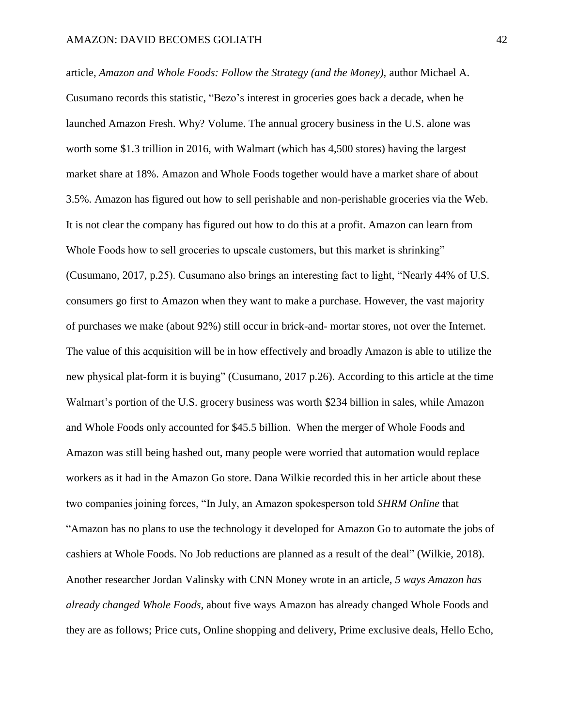article, *Amazon and Whole Foods: Follow the Strategy (and the Money),* author Michael A. Cusumano records this statistic, "Bezo's interest in groceries goes back a decade, when he launched Amazon Fresh. Why? Volume. The annual grocery business in the U.S. alone was worth some \$1.3 trillion in 2016, with Walmart (which has 4,500 stores) having the largest market share at 18%. Amazon and Whole Foods together would have a market share of about 3.5%. Amazon has figured out how to sell perishable and non-perishable groceries via the Web. It is not clear the company has figured out how to do this at a profit. Amazon can learn from Whole Foods how to sell groceries to upscale customers, but this market is shrinking" (Cusumano, 2017, p.25). Cusumano also brings an interesting fact to light, "Nearly 44% of U.S. consumers go first to Amazon when they want to make a purchase. However, the vast majority of purchases we make (about 92%) still occur in brick-and- mortar stores, not over the Internet. The value of this acquisition will be in how effectively and broadly Amazon is able to utilize the new physical plat-form it is buying" (Cusumano, 2017 p.26). According to this article at the time Walmart's portion of the U.S. grocery business was worth \$234 billion in sales, while Amazon and Whole Foods only accounted for \$45.5 billion. When the merger of Whole Foods and Amazon was still being hashed out, many people were worried that automation would replace workers as it had in the Amazon Go store. Dana Wilkie recorded this in her article about these two companies joining forces, "In July, an Amazon spokesperson told *SHRM Online* that "Amazon has no plans to use the technology it developed for Amazon Go to automate the jobs of cashiers at Whole Foods. No Job reductions are planned as a result of the deal" (Wilkie, 2018). Another researcher Jordan Valinsky with CNN Money wrote in an article, *5 ways Amazon has already changed Whole Foods,* about five ways Amazon has already changed Whole Foods and they are as follows; Price cuts, Online shopping and delivery, Prime exclusive deals, Hello Echo,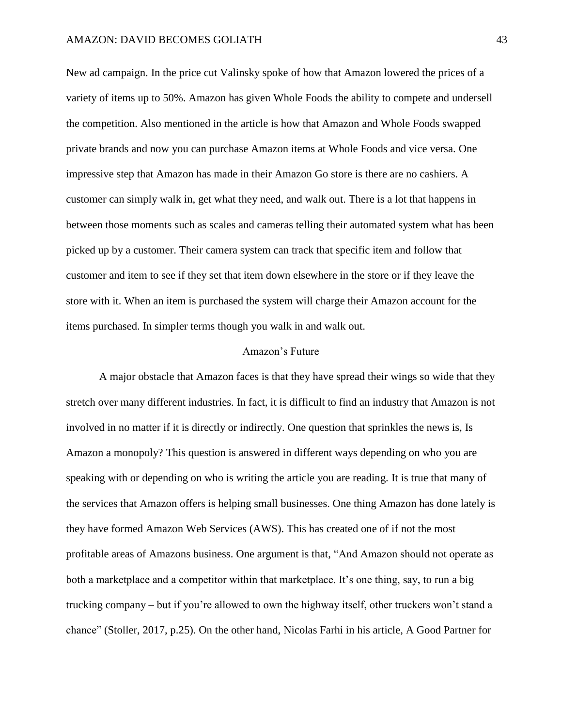New ad campaign. In the price cut Valinsky spoke of how that Amazon lowered the prices of a variety of items up to 50%. Amazon has given Whole Foods the ability to compete and undersell the competition. Also mentioned in the article is how that Amazon and Whole Foods swapped private brands and now you can purchase Amazon items at Whole Foods and vice versa. One impressive step that Amazon has made in their Amazon Go store is there are no cashiers. A customer can simply walk in, get what they need, and walk out. There is a lot that happens in between those moments such as scales and cameras telling their automated system what has been picked up by a customer. Their camera system can track that specific item and follow that customer and item to see if they set that item down elsewhere in the store or if they leave the store with it. When an item is purchased the system will charge their Amazon account for the items purchased. In simpler terms though you walk in and walk out.

#### Amazon's Future

A major obstacle that Amazon faces is that they have spread their wings so wide that they stretch over many different industries. In fact, it is difficult to find an industry that Amazon is not involved in no matter if it is directly or indirectly. One question that sprinkles the news is, Is Amazon a monopoly? This question is answered in different ways depending on who you are speaking with or depending on who is writing the article you are reading. It is true that many of the services that Amazon offers is helping small businesses. One thing Amazon has done lately is they have formed Amazon Web Services (AWS). This has created one of if not the most profitable areas of Amazons business. One argument is that, "And Amazon should not operate as both a marketplace and a competitor within that marketplace. It's one thing, say, to run a big trucking company – but if you're allowed to own the highway itself, other truckers won't stand a chance" (Stoller, 2017, p.25). On the other hand, Nicolas Farhi in his article, A Good Partner for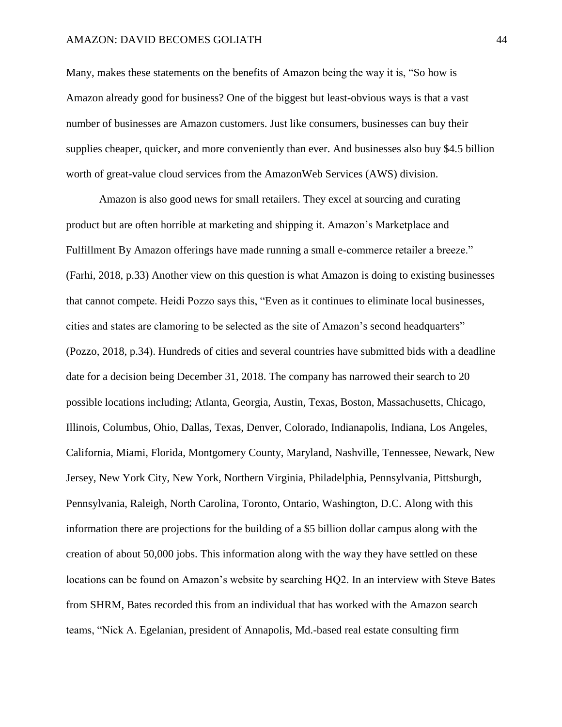Many, makes these statements on the benefits of Amazon being the way it is, "So how is Amazon already good for business? One of the biggest but least-obvious ways is that a vast number of businesses are Amazon customers. Just like consumers, businesses can buy their supplies cheaper, quicker, and more conveniently than ever. And businesses also buy \$4.5 billion worth of great-value cloud services from the AmazonWeb Services (AWS) division.

Amazon is also good news for small retailers. They excel at sourcing and curating product but are often horrible at marketing and shipping it. Amazon's Marketplace and Fulfillment By Amazon offerings have made running a small e-commerce retailer a breeze." (Farhi, 2018, p.33) Another view on this question is what Amazon is doing to existing businesses that cannot compete. Heidi Pozzo says this, "Even as it continues to eliminate local businesses, cities and states are clamoring to be selected as the site of Amazon's second headquarters" (Pozzo, 2018, p.34). Hundreds of cities and several countries have submitted bids with a deadline date for a decision being December 31, 2018. The company has narrowed their search to 20 possible locations including; Atlanta, Georgia, Austin, Texas, Boston, Massachusetts, Chicago, Illinois, Columbus, Ohio, Dallas, Texas, Denver, Colorado, Indianapolis, Indiana, Los Angeles, California, Miami, Florida, Montgomery County, Maryland, Nashville, Tennessee, Newark, New Jersey, New York City, New York, Northern Virginia, Philadelphia, Pennsylvania, Pittsburgh, Pennsylvania, Raleigh, North Carolina, Toronto, Ontario, Washington, D.C. Along with this information there are projections for the building of a \$5 billion dollar campus along with the creation of about 50,000 jobs. This information along with the way they have settled on these locations can be found on Amazon's website by searching HQ2. In an interview with Steve Bates from SHRM, Bates recorded this from an individual that has worked with the Amazon search teams, "Nick A. Egelanian, president of Annapolis, Md.-based real estate consulting firm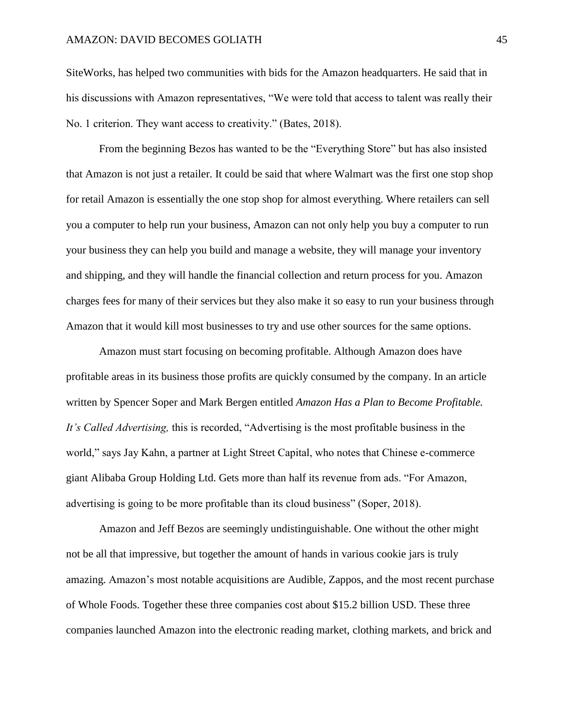SiteWorks, has helped two communities with bids for the Amazon headquarters. He said that in his discussions with Amazon representatives, "We were told that access to talent was really their No. 1 criterion. They want access to creativity." (Bates, 2018).

From the beginning Bezos has wanted to be the "Everything Store" but has also insisted that Amazon is not just a retailer. It could be said that where Walmart was the first one stop shop for retail Amazon is essentially the one stop shop for almost everything. Where retailers can sell you a computer to help run your business, Amazon can not only help you buy a computer to run your business they can help you build and manage a website, they will manage your inventory and shipping, and they will handle the financial collection and return process for you. Amazon charges fees for many of their services but they also make it so easy to run your business through Amazon that it would kill most businesses to try and use other sources for the same options.

Amazon must start focusing on becoming profitable. Although Amazon does have profitable areas in its business those profits are quickly consumed by the company. In an article written by Spencer Soper and Mark Bergen entitled *Amazon Has a Plan to Become Profitable. It's Called Advertising,* this is recorded, "Advertising is the most profitable business in the world," says Jay Kahn, a partner at Light Street Capital, who notes that Chinese e-commerce giant Alibaba Group Holding Ltd. Gets more than half its revenue from ads. "For Amazon, advertising is going to be more profitable than its cloud business" (Soper, 2018).

Amazon and Jeff Bezos are seemingly undistinguishable. One without the other might not be all that impressive, but together the amount of hands in various cookie jars is truly amazing. Amazon's most notable acquisitions are Audible, Zappos, and the most recent purchase of Whole Foods. Together these three companies cost about \$15.2 billion USD. These three companies launched Amazon into the electronic reading market, clothing markets, and brick and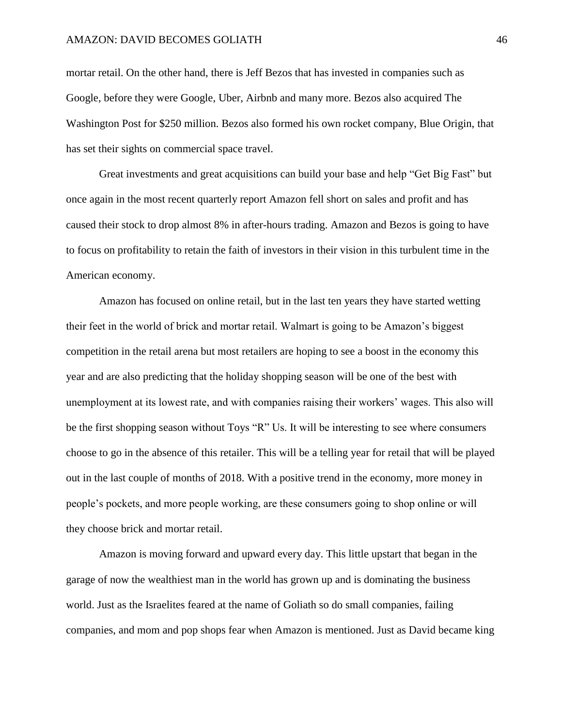mortar retail. On the other hand, there is Jeff Bezos that has invested in companies such as Google, before they were Google, Uber, Airbnb and many more. Bezos also acquired The Washington Post for \$250 million. Bezos also formed his own rocket company, Blue Origin, that has set their sights on commercial space travel.

Great investments and great acquisitions can build your base and help "Get Big Fast" but once again in the most recent quarterly report Amazon fell short on sales and profit and has caused their stock to drop almost 8% in after-hours trading. Amazon and Bezos is going to have to focus on profitability to retain the faith of investors in their vision in this turbulent time in the American economy.

Amazon has focused on online retail, but in the last ten years they have started wetting their feet in the world of brick and mortar retail. Walmart is going to be Amazon's biggest competition in the retail arena but most retailers are hoping to see a boost in the economy this year and are also predicting that the holiday shopping season will be one of the best with unemployment at its lowest rate, and with companies raising their workers' wages. This also will be the first shopping season without Toys "R" Us. It will be interesting to see where consumers choose to go in the absence of this retailer. This will be a telling year for retail that will be played out in the last couple of months of 2018. With a positive trend in the economy, more money in people's pockets, and more people working, are these consumers going to shop online or will they choose brick and mortar retail.

Amazon is moving forward and upward every day. This little upstart that began in the garage of now the wealthiest man in the world has grown up and is dominating the business world. Just as the Israelites feared at the name of Goliath so do small companies, failing companies, and mom and pop shops fear when Amazon is mentioned. Just as David became king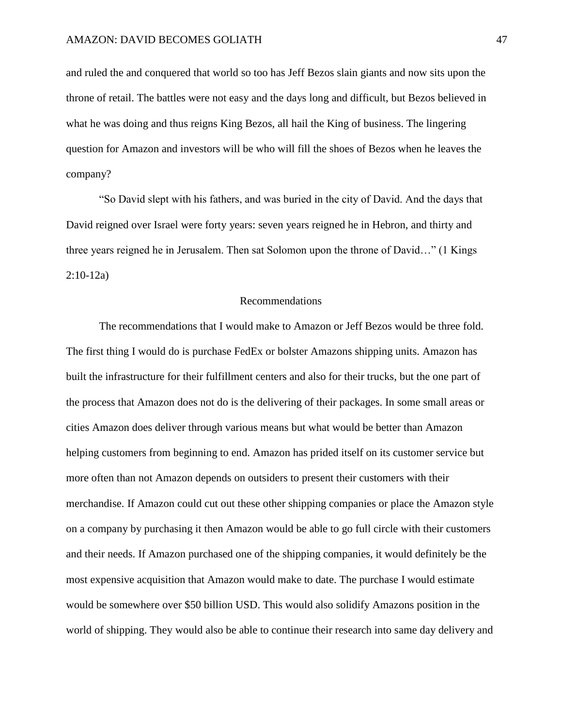and ruled the and conquered that world so too has Jeff Bezos slain giants and now sits upon the throne of retail. The battles were not easy and the days long and difficult, but Bezos believed in what he was doing and thus reigns King Bezos, all hail the King of business. The lingering question for Amazon and investors will be who will fill the shoes of Bezos when he leaves the company?

"So David slept with his fathers, and was buried in the city of David. And the days that David reigned over Israel were forty years: seven years reigned he in Hebron, and thirty and three years reigned he in Jerusalem. Then sat Solomon upon the throne of David…" (1 Kings 2:10-12a)

#### Recommendations

The recommendations that I would make to Amazon or Jeff Bezos would be three fold. The first thing I would do is purchase FedEx or bolster Amazons shipping units. Amazon has built the infrastructure for their fulfillment centers and also for their trucks, but the one part of the process that Amazon does not do is the delivering of their packages. In some small areas or cities Amazon does deliver through various means but what would be better than Amazon helping customers from beginning to end. Amazon has prided itself on its customer service but more often than not Amazon depends on outsiders to present their customers with their merchandise. If Amazon could cut out these other shipping companies or place the Amazon style on a company by purchasing it then Amazon would be able to go full circle with their customers and their needs. If Amazon purchased one of the shipping companies, it would definitely be the most expensive acquisition that Amazon would make to date. The purchase I would estimate would be somewhere over \$50 billion USD. This would also solidify Amazons position in the world of shipping. They would also be able to continue their research into same day delivery and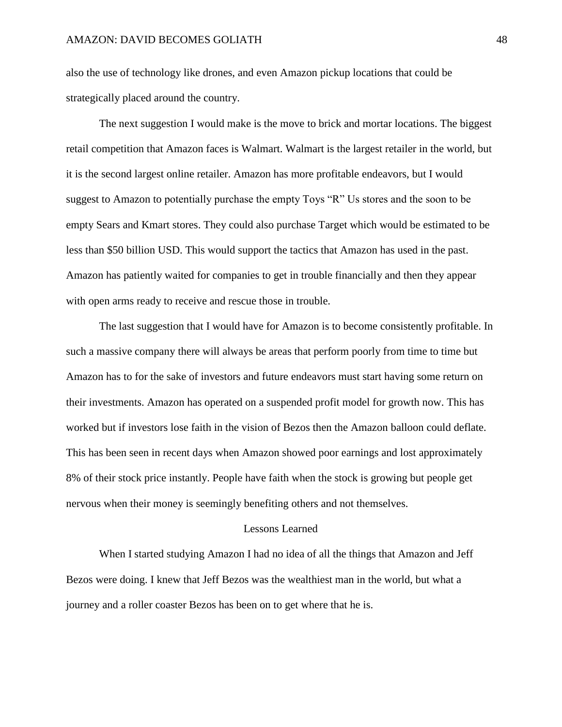also the use of technology like drones, and even Amazon pickup locations that could be strategically placed around the country.

The next suggestion I would make is the move to brick and mortar locations. The biggest retail competition that Amazon faces is Walmart. Walmart is the largest retailer in the world, but it is the second largest online retailer. Amazon has more profitable endeavors, but I would suggest to Amazon to potentially purchase the empty Toys "R" Us stores and the soon to be empty Sears and Kmart stores. They could also purchase Target which would be estimated to be less than \$50 billion USD. This would support the tactics that Amazon has used in the past. Amazon has patiently waited for companies to get in trouble financially and then they appear with open arms ready to receive and rescue those in trouble.

The last suggestion that I would have for Amazon is to become consistently profitable. In such a massive company there will always be areas that perform poorly from time to time but Amazon has to for the sake of investors and future endeavors must start having some return on their investments. Amazon has operated on a suspended profit model for growth now. This has worked but if investors lose faith in the vision of Bezos then the Amazon balloon could deflate. This has been seen in recent days when Amazon showed poor earnings and lost approximately 8% of their stock price instantly. People have faith when the stock is growing but people get nervous when their money is seemingly benefiting others and not themselves.

#### Lessons Learned

When I started studying Amazon I had no idea of all the things that Amazon and Jeff Bezos were doing. I knew that Jeff Bezos was the wealthiest man in the world, but what a journey and a roller coaster Bezos has been on to get where that he is.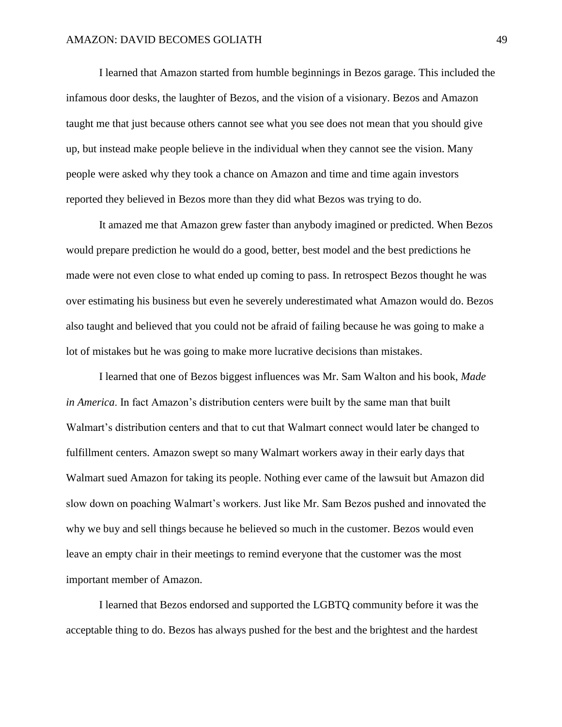I learned that Amazon started from humble beginnings in Bezos garage. This included the infamous door desks, the laughter of Bezos, and the vision of a visionary. Bezos and Amazon taught me that just because others cannot see what you see does not mean that you should give up, but instead make people believe in the individual when they cannot see the vision. Many people were asked why they took a chance on Amazon and time and time again investors reported they believed in Bezos more than they did what Bezos was trying to do.

It amazed me that Amazon grew faster than anybody imagined or predicted. When Bezos would prepare prediction he would do a good, better, best model and the best predictions he made were not even close to what ended up coming to pass. In retrospect Bezos thought he was over estimating his business but even he severely underestimated what Amazon would do. Bezos also taught and believed that you could not be afraid of failing because he was going to make a lot of mistakes but he was going to make more lucrative decisions than mistakes.

I learned that one of Bezos biggest influences was Mr. Sam Walton and his book, *Made in America*. In fact Amazon's distribution centers were built by the same man that built Walmart's distribution centers and that to cut that Walmart connect would later be changed to fulfillment centers. Amazon swept so many Walmart workers away in their early days that Walmart sued Amazon for taking its people. Nothing ever came of the lawsuit but Amazon did slow down on poaching Walmart's workers. Just like Mr. Sam Bezos pushed and innovated the why we buy and sell things because he believed so much in the customer. Bezos would even leave an empty chair in their meetings to remind everyone that the customer was the most important member of Amazon.

I learned that Bezos endorsed and supported the LGBTQ community before it was the acceptable thing to do. Bezos has always pushed for the best and the brightest and the hardest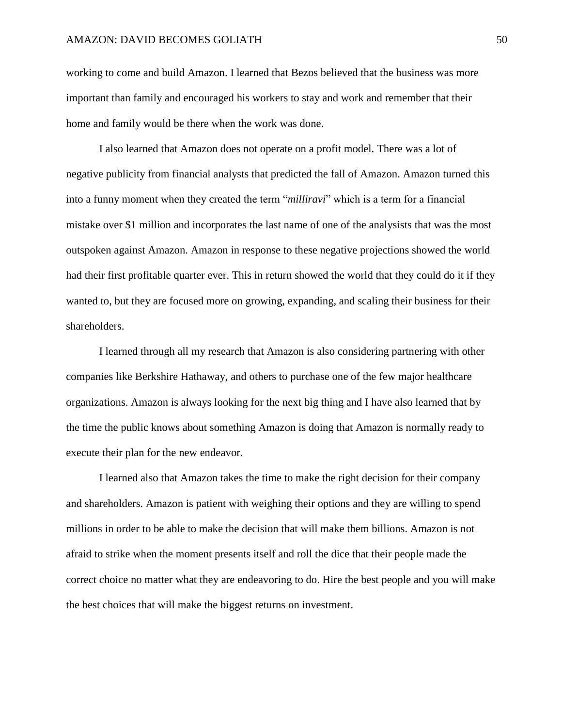working to come and build Amazon. I learned that Bezos believed that the business was more important than family and encouraged his workers to stay and work and remember that their home and family would be there when the work was done.

I also learned that Amazon does not operate on a profit model. There was a lot of negative publicity from financial analysts that predicted the fall of Amazon. Amazon turned this into a funny moment when they created the term "*milliravi*" which is a term for a financial mistake over \$1 million and incorporates the last name of one of the analysists that was the most outspoken against Amazon. Amazon in response to these negative projections showed the world had their first profitable quarter ever. This in return showed the world that they could do it if they wanted to, but they are focused more on growing, expanding, and scaling their business for their shareholders.

I learned through all my research that Amazon is also considering partnering with other companies like Berkshire Hathaway, and others to purchase one of the few major healthcare organizations. Amazon is always looking for the next big thing and I have also learned that by the time the public knows about something Amazon is doing that Amazon is normally ready to execute their plan for the new endeavor.

I learned also that Amazon takes the time to make the right decision for their company and shareholders. Amazon is patient with weighing their options and they are willing to spend millions in order to be able to make the decision that will make them billions. Amazon is not afraid to strike when the moment presents itself and roll the dice that their people made the correct choice no matter what they are endeavoring to do. Hire the best people and you will make the best choices that will make the biggest returns on investment.

50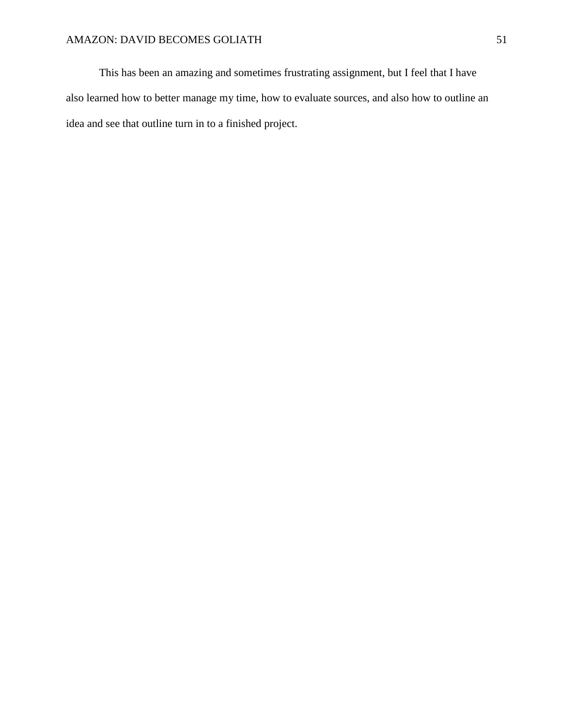This has been an amazing and sometimes frustrating assignment, but I feel that I have also learned how to better manage my time, how to evaluate sources, and also how to outline an idea and see that outline turn in to a finished project.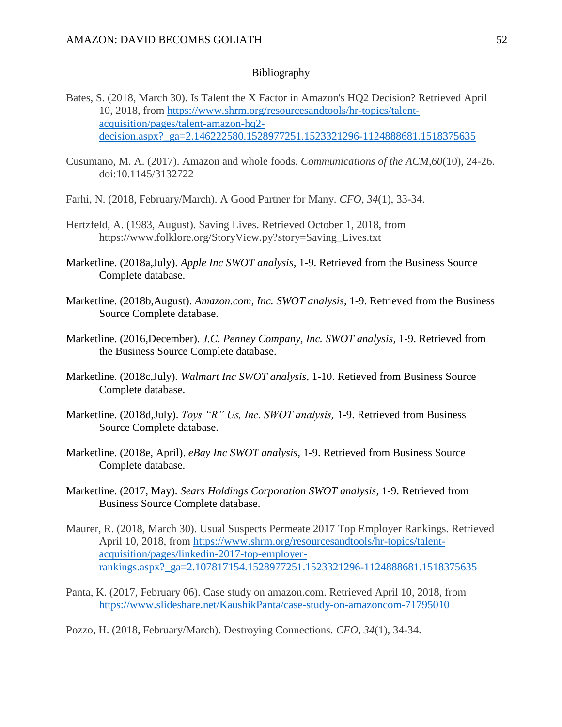#### Bibliography

- Bates, S. (2018, March 30). Is Talent the X Factor in Amazon's HQ2 Decision? Retrieved April 10, 2018, from [https://www.shrm.org/resourcesandtools/hr-topics/talent](https://www.shrm.org/resourcesandtools/hr-topics/talent-acquisition/pages/talent-amazon-hq2-decision.aspx?_ga=2.146222580.1528977251.1523321296-1124888681.1518375635)[acquisition/pages/talent-amazon-hq2](https://www.shrm.org/resourcesandtools/hr-topics/talent-acquisition/pages/talent-amazon-hq2-decision.aspx?_ga=2.146222580.1528977251.1523321296-1124888681.1518375635) [decision.aspx?\\_ga=2.146222580.1528977251.1523321296-1124888681.1518375635](https://www.shrm.org/resourcesandtools/hr-topics/talent-acquisition/pages/talent-amazon-hq2-decision.aspx?_ga=2.146222580.1528977251.1523321296-1124888681.1518375635)
- Cusumano, M. A. (2017). Amazon and whole foods. *Communications of the ACM,60*(10), 24-26. doi:10.1145/3132722
- Farhi, N. (2018, February/March). A Good Partner for Many. *CFO*, *34*(1), 33-34.
- Hertzfeld, A. (1983, August). Saving Lives. Retrieved October 1, 2018, from https://www.folklore.org/StoryView.py?story=Saving\_Lives.txt
- Marketline. (2018a,July). *Apple Inc SWOT analysis,* 1-9. Retrieved from the Business Source Complete database.
- Marketline. (2018b,August). *Amazon.com, Inc. SWOT analysis,* 1-9. Retrieved from the Business Source Complete database.
- Marketline. (2016,December). *J.C. Penney Company, Inc. SWOT analysis,* 1-9. Retrieved from the Business Source Complete database.
- Marketline. (2018c,July). *Walmart Inc SWOT analysis,* 1-10. Retieved from Business Source Complete database.
- Marketline. (2018d,July). *Toys "R" Us, Inc. SWOT analysis,* 1-9. Retrieved from Business Source Complete database.
- Marketline. (2018e, April). *eBay Inc SWOT analysis,* 1-9. Retrieved from Business Source Complete database.
- Marketline. (2017, May). *Sears Holdings Corporation SWOT analysis,* 1-9. Retrieved from Business Source Complete database.
- Maurer, R. (2018, March 30). Usual Suspects Permeate 2017 Top Employer Rankings. Retrieved April 10, 2018, from [https://www.shrm.org/resourcesandtools/hr-topics/talent](https://www.shrm.org/resourcesandtools/hr-topics/talent-acquisition/pages/linkedin-2017-top-employer-rankings.aspx?_ga=2.107817154.1528977251.1523321296-1124888681.1518375635)[acquisition/pages/linkedin-2017-top-employer](https://www.shrm.org/resourcesandtools/hr-topics/talent-acquisition/pages/linkedin-2017-top-employer-rankings.aspx?_ga=2.107817154.1528977251.1523321296-1124888681.1518375635)[rankings.aspx?\\_ga=2.107817154.1528977251.1523321296-1124888681.1518375635](https://www.shrm.org/resourcesandtools/hr-topics/talent-acquisition/pages/linkedin-2017-top-employer-rankings.aspx?_ga=2.107817154.1528977251.1523321296-1124888681.1518375635)
- Panta, K. (2017, February 06). Case study on amazon.com. Retrieved April 10, 2018, from <https://www.slideshare.net/KaushikPanta/case-study-on-amazoncom-71795010>
- Pozzo, H. (2018, February/March). Destroying Connections. *CFO*, *34*(1), 34-34.